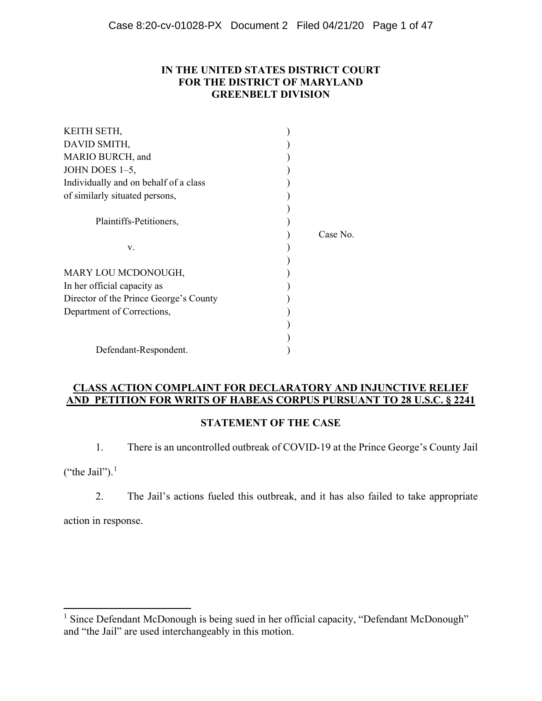# **IN THE UNITED STATES DISTRICT COURT FOR THE DISTRICT OF MARYLAND GREENBELT DIVISION**

| KEITH SETH,                            |          |  |
|----------------------------------------|----------|--|
| DAVID SMITH,                           |          |  |
| MARIO BURCH, and                       |          |  |
| JOHN DOES 1-5,                         |          |  |
| Individually and on behalf of a class  |          |  |
| of similarly situated persons,         |          |  |
|                                        |          |  |
| Plaintiffs-Petitioners,                |          |  |
|                                        | Case No. |  |
| V.                                     |          |  |
|                                        |          |  |
| MARY LOU MCDONOUGH,                    |          |  |
| In her official capacity as            |          |  |
| Director of the Prince George's County |          |  |
| Department of Corrections,             |          |  |
|                                        |          |  |
|                                        |          |  |
| Defendant-Respondent.                  |          |  |

# **CLASS ACTION COMPLAINT FOR DECLARATORY AND INJUNCTIVE RELIEF AND PETITION FOR WRITS OF HABEAS CORPUS PURSUANT TO 28 U.S.C. § 2241**

# **STATEMENT OF THE CASE**

1. There is an uncontrolled outbreak of COVID-19 at the Prince George's County Jail

("the Jail").<sup>[1](#page-0-0)</sup>

 $\overline{a}$ 

2. The Jail's actions fueled this outbreak, and it has also failed to take appropriate

action in response.

<span id="page-0-0"></span><sup>&</sup>lt;sup>1</sup> Since Defendant McDonough is being sued in her official capacity, "Defendant McDonough" and "the Jail" are used interchangeably in this motion.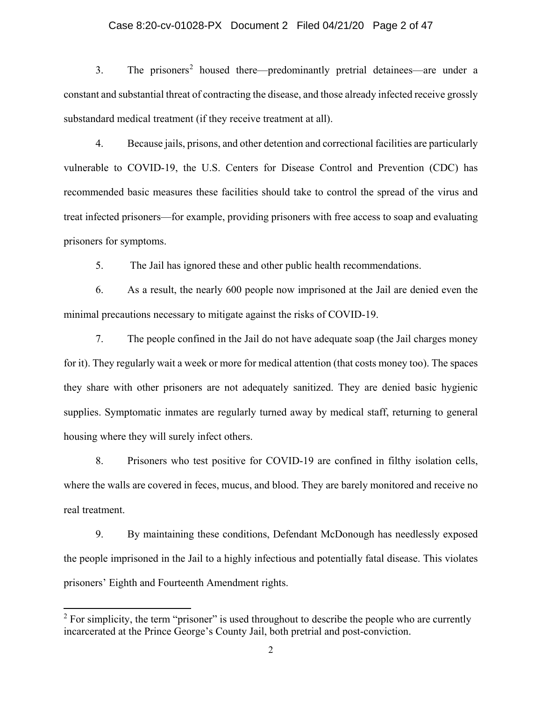### Case 8:20-cv-01028-PX Document 2 Filed 04/21/20 Page 2 of 47

3. The prisoners<sup>[2](#page-1-0)</sup> housed there—predominantly pretrial detainees—are under a constant and substantial threat of contracting the disease, and those already infected receive grossly substandard medical treatment (if they receive treatment at all).

4. Because jails, prisons, and other detention and correctional facilities are particularly vulnerable to COVID-19, the U.S. Centers for Disease Control and Prevention (CDC) has recommended basic measures these facilities should take to control the spread of the virus and treat infected prisoners—for example, providing prisoners with free access to soap and evaluating prisoners for symptoms.

5. The Jail has ignored these and other public health recommendations.

6. As a result, the nearly 600 people now imprisoned at the Jail are denied even the minimal precautions necessary to mitigate against the risks of COVID-19.

7. The people confined in the Jail do not have adequate soap (the Jail charges money for it). They regularly wait a week or more for medical attention (that costs money too). The spaces they share with other prisoners are not adequately sanitized. They are denied basic hygienic supplies. Symptomatic inmates are regularly turned away by medical staff, returning to general housing where they will surely infect others.

8. Prisoners who test positive for COVID-19 are confined in filthy isolation cells, where the walls are covered in feces, mucus, and blood. They are barely monitored and receive no real treatment.

9. By maintaining these conditions, Defendant McDonough has needlessly exposed the people imprisoned in the Jail to a highly infectious and potentially fatal disease. This violates prisoners' Eighth and Fourteenth Amendment rights.

<span id="page-1-0"></span> $2 \text{ For simplicity, the term "prisoner" is used throughout to describe the people who are currently.}$ incarcerated at the Prince George's County Jail, both pretrial and post-conviction.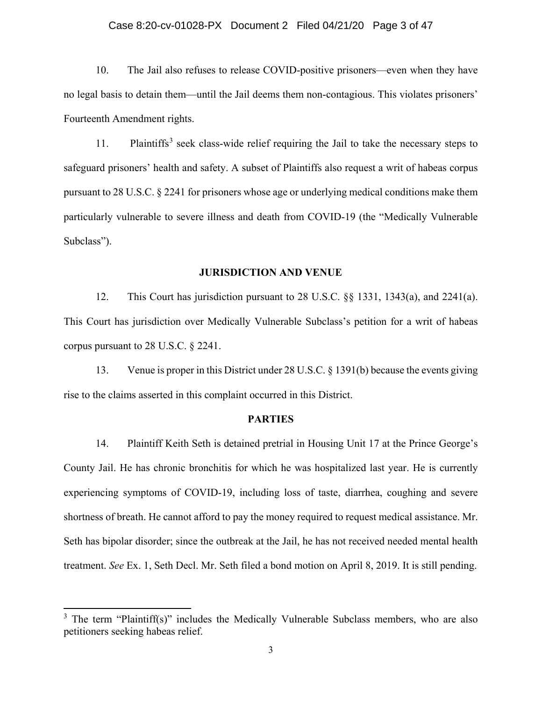#### Case 8:20-cv-01028-PX Document 2 Filed 04/21/20 Page 3 of 47

10. The Jail also refuses to release COVID-positive prisoners—even when they have no legal basis to detain them—until the Jail deems them non-contagious. This violates prisoners' Fourteenth Amendment rights.

11. Plaintiffs<sup>[3](#page-2-0)</sup> seek class-wide relief requiring the Jail to take the necessary steps to safeguard prisoners' health and safety. A subset of Plaintiffs also request a writ of habeas corpus pursuant to 28 U.S.C. § 2241 for prisoners whose age or underlying medical conditions make them particularly vulnerable to severe illness and death from COVID-19 (the "Medically Vulnerable Subclass").

#### **JURISDICTION AND VENUE**

12. This Court has jurisdiction pursuant to 28 U.S.C. §§ 1331, 1343(a), and 2241(a). This Court has jurisdiction over Medically Vulnerable Subclass's petition for a writ of habeas corpus pursuant to 28 U.S.C. § 2241.

13. Venue is proper in this District under 28 U.S.C. § 1391(b) because the events giving rise to the claims asserted in this complaint occurred in this District.

### **PARTIES**

14. Plaintiff Keith Seth is detained pretrial in Housing Unit 17 at the Prince George's County Jail. He has chronic bronchitis for which he was hospitalized last year. He is currently experiencing symptoms of COVID-19, including loss of taste, diarrhea, coughing and severe shortness of breath. He cannot afford to pay the money required to request medical assistance. Mr. Seth has bipolar disorder; since the outbreak at the Jail, he has not received needed mental health treatment. *See* Ex. 1, Seth Decl. Mr. Seth filed a bond motion on April 8, 2019. It is still pending.

<span id="page-2-0"></span><sup>&</sup>lt;sup>3</sup> The term "Plaintiff(s)" includes the Medically Vulnerable Subclass members, who are also petitioners seeking habeas relief.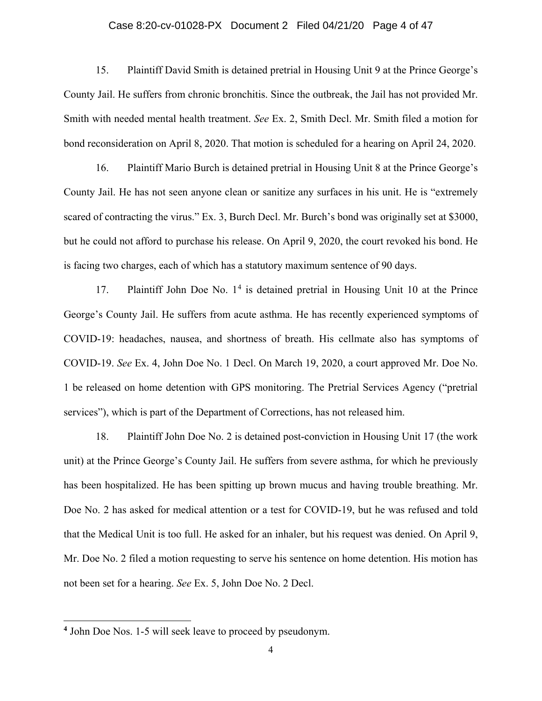#### Case 8:20-cv-01028-PX Document 2 Filed 04/21/20 Page 4 of 47

15. Plaintiff David Smith is detained pretrial in Housing Unit 9 at the Prince George's County Jail. He suffers from chronic bronchitis. Since the outbreak, the Jail has not provided Mr. Smith with needed mental health treatment. *See* Ex. 2, Smith Decl. Mr. Smith filed a motion for bond reconsideration on April 8, 2020. That motion is scheduled for a hearing on April 24, 2020.

16. Plaintiff Mario Burch is detained pretrial in Housing Unit 8 at the Prince George's County Jail. He has not seen anyone clean or sanitize any surfaces in his unit. He is "extremely scared of contracting the virus." Ex. 3, Burch Decl. Mr. Burch's bond was originally set at \$3000, but he could not afford to purchase his release. On April 9, 2020, the court revoked his bond. He is facing two charges, each of which has a statutory maximum sentence of 90 days.

17. Plaintiff John Doe No.  $1<sup>4</sup>$  $1<sup>4</sup>$  $1<sup>4</sup>$  is detained pretrial in Housing Unit 10 at the Prince George's County Jail. He suffers from acute asthma. He has recently experienced symptoms of COVID-19: headaches, nausea, and shortness of breath. His cellmate also has symptoms of COVID-19. *See* Ex. 4, John Doe No. 1 Decl. On March 19, 2020, a court approved Mr. Doe No. 1 be released on home detention with GPS monitoring. The Pretrial Services Agency ("pretrial services"), which is part of the Department of Corrections, has not released him.

18. Plaintiff John Doe No. 2 is detained post-conviction in Housing Unit 17 (the work unit) at the Prince George's County Jail. He suffers from severe asthma, for which he previously has been hospitalized. He has been spitting up brown mucus and having trouble breathing. Mr. Doe No. 2 has asked for medical attention or a test for COVID-19, but he was refused and told that the Medical Unit is too full. He asked for an inhaler, but his request was denied. On April 9, Mr. Doe No. 2 filed a motion requesting to serve his sentence on home detention. His motion has not been set for a hearing. *See* Ex. 5, John Doe No. 2 Decl.

<span id="page-3-0"></span>**<sup>4</sup>** John Doe Nos. 1-5 will seek leave to proceed by pseudonym.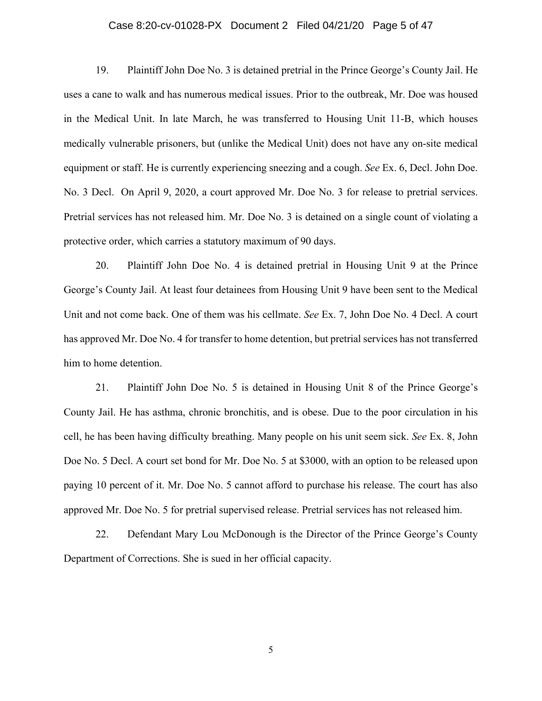#### Case 8:20-cv-01028-PX Document 2 Filed 04/21/20 Page 5 of 47

19. Plaintiff John Doe No. 3 is detained pretrial in the Prince George's County Jail. He uses a cane to walk and has numerous medical issues. Prior to the outbreak, Mr. Doe was housed in the Medical Unit. In late March, he was transferred to Housing Unit 11-B, which houses medically vulnerable prisoners, but (unlike the Medical Unit) does not have any on-site medical equipment or staff. He is currently experiencing sneezing and a cough. *See* Ex. 6, Decl. John Doe. No. 3 Decl. On April 9, 2020, a court approved Mr. Doe No. 3 for release to pretrial services. Pretrial services has not released him. Mr. Doe No. 3 is detained on a single count of violating a protective order, which carries a statutory maximum of 90 days.

20. Plaintiff John Doe No. 4 is detained pretrial in Housing Unit 9 at the Prince George's County Jail. At least four detainees from Housing Unit 9 have been sent to the Medical Unit and not come back. One of them was his cellmate. *See* Ex. 7, John Doe No. 4 Decl. A court has approved Mr. Doe No. 4 for transfer to home detention, but pretrial services has not transferred him to home detention.

21. Plaintiff John Doe No. 5 is detained in Housing Unit 8 of the Prince George's County Jail. He has asthma, chronic bronchitis, and is obese. Due to the poor circulation in his cell, he has been having difficulty breathing. Many people on his unit seem sick. *See* Ex. 8, John Doe No. 5 Decl. A court set bond for Mr. Doe No. 5 at \$3000, with an option to be released upon paying 10 percent of it. Mr. Doe No. 5 cannot afford to purchase his release. The court has also approved Mr. Doe No. 5 for pretrial supervised release. Pretrial services has not released him.

22. Defendant Mary Lou McDonough is the Director of the Prince George's County Department of Corrections. She is sued in her official capacity.

5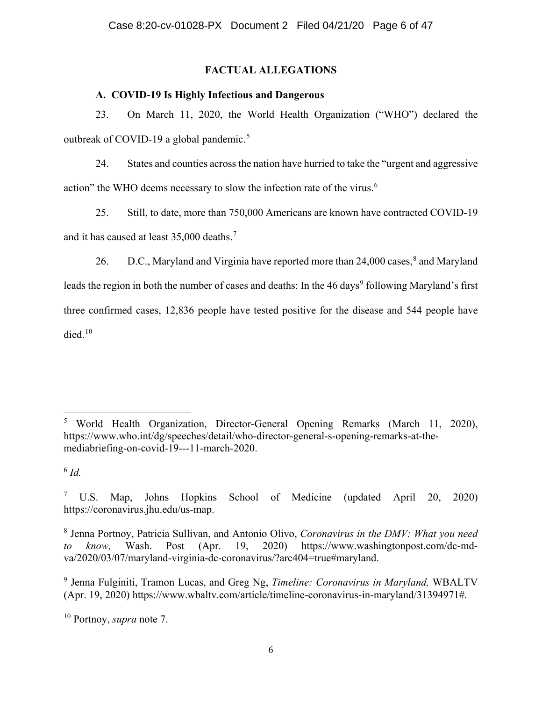# **FACTUAL ALLEGATIONS**

# **A. COVID-19 Is Highly Infectious and Dangerous**

23. On March 11, 2020, the World Health Organization ("WHO") declared the outbreak of COVID-19 a global pandemic.<sup>[5](#page-5-0)</sup>

24. States and counties across the nation have hurried to take the "urgent and aggressive action" the WHO deems necessary to slow the infection rate of the virus.<sup>[6](#page-5-1)</sup>

25. Still, to date, more than 750,000 Americans are known have contracted COVID-19 and it has caused at least 35,000 deaths.[7](#page-5-2)

26. D.C., Maryland and Virginia have reported more than 24,000 cases,<sup>[8](#page-5-3)</sup> and Maryland leads the region in both the number of cases and deaths: In the 46 days<sup>[9](#page-5-4)</sup> following Maryland's first three confirmed cases, 12,836 people have tested positive for the disease and 544 people have died. [10](#page-5-5)

<span id="page-5-0"></span> $\ddot{\phantom{a}}$ <sup>5</sup> World Health Organization, Director-General Opening Remarks (March 11, 2020), https://www.who.int/dg/speeches/detail/who-director-general-s-opening-remarks-at-themediabriefing-on-covid-19---11-march-2020.

<span id="page-5-1"></span> $6$   $Id$ 

<span id="page-5-2"></span><sup>&</sup>lt;sup>7</sup> U.S. Map, Johns Hopkins School of Medicine (updated April 20, 2020) https://coronavirus.jhu.edu/us-map.

<span id="page-5-3"></span><sup>8</sup> Jenna Portnoy, Patricia Sullivan, and Antonio Olivo, *Coronavirus in the DMV: What you need to know,* Wash. Post (Apr. 19, 2020) https://www.washingtonpost.com/dc-mdva/2020/03/07/maryland-virginia-dc-coronavirus/?arc404=true#maryland.

<span id="page-5-4"></span><sup>9</sup> Jenna Fulginiti, Tramon Lucas, and Greg Ng, *Timeline: Coronavirus in Maryland,* WBALTV (Apr. 19, 2020) https://www.wbaltv.com/article/timeline-coronavirus-in-maryland/31394971#.

<span id="page-5-5"></span><sup>10</sup> Portnoy, *supra* note 7.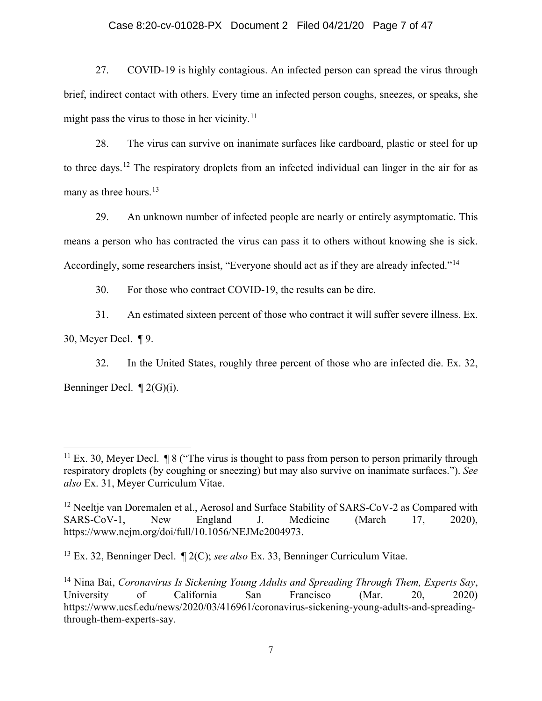## Case 8:20-cv-01028-PX Document 2 Filed 04/21/20 Page 7 of 47

27. COVID-19 is highly contagious. An infected person can spread the virus through brief, indirect contact with others. Every time an infected person coughs, sneezes, or speaks, she might pass the virus to those in her vicinity. $^{11}$  $^{11}$  $^{11}$ 

28. The virus can survive on inanimate surfaces like cardboard, plastic or steel for up to three days.<sup>[12](#page-6-1)</sup> The respiratory droplets from an infected individual can linger in the air for as many as three hours. $^{13}$  $^{13}$  $^{13}$ 

29. An unknown number of infected people are nearly or entirely asymptomatic. This means a person who has contracted the virus can pass it to others without knowing she is sick. Accordingly, some researchers insist, "Everyone should act as if they are already infected."<sup>[14](#page-6-3)</sup>

30. For those who contract COVID-19, the results can be dire.

31. An estimated sixteen percent of those who contract it will suffer severe illness. Ex.

30, Meyer Decl. ¶ 9.

 $\ddot{\phantom{a}}$ 

32. In the United States, roughly three percent of those who are infected die. Ex. 32, Benninger Decl. ¶ 2(G)(i).

<span id="page-6-0"></span><sup>&</sup>lt;sup>11</sup> Ex. 30, Meyer Decl.  $\P$  8 ("The virus is thought to pass from person to person primarily through respiratory droplets (by coughing or sneezing) but may also survive on inanimate surfaces."). *See also* Ex. 31, Meyer Curriculum Vitae.

<span id="page-6-1"></span><sup>&</sup>lt;sup>12</sup> Neeltje van Doremalen et al., Aerosol and Surface Stability of SARS-CoV-2 as Compared with SARS-CoV-1, New England J. Medicine (March 17, 2020), https://www.nejm.org/doi/full/10.1056/NEJMc2004973.

<span id="page-6-2"></span><sup>13</sup> Ex. 32, Benninger Decl. ¶ 2(C); *see also* Ex. 33, Benninger Curriculum Vitae.

<span id="page-6-3"></span><sup>14</sup> Nina Bai, *Coronavirus Is Sickening Young Adults and Spreading Through Them, Experts Say*, University of California San Francisco (Mar. 20, 2020) https://www.ucsf.edu/news/2020/03/416961/coronavirus-sickening-young-adults-and-spreadingthrough-them-experts-say.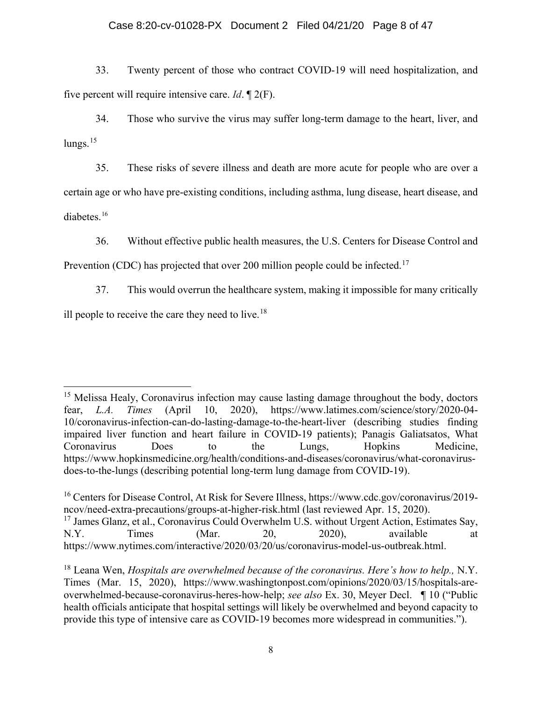### Case 8:20-cv-01028-PX Document 2 Filed 04/21/20 Page 8 of 47

33. Twenty percent of those who contract COVID-19 will need hospitalization, and five percent will require intensive care. *Id*. ¶ 2(F).

34. Those who survive the virus may suffer long-term damage to the heart, liver, and  $lungs.<sup>15</sup>$  $lungs.<sup>15</sup>$  $lungs.<sup>15</sup>$ 

35. These risks of severe illness and death are more acute for people who are over a certain age or who have pre-existing conditions, including asthma, lung disease, heart disease, and diabetes.<sup>[16](#page-7-1)</sup>

36. Without effective public health measures, the U.S. Centers for Disease Control and

Prevention (CDC) has projected that over 200 million people could be infected.<sup>[17](#page-7-2)</sup>

37. This would overrun the healthcare system, making it impossible for many critically ill people to receive the care they need to live.<sup>[18](#page-7-3)</sup>

<span id="page-7-0"></span> $\ddot{\phantom{a}}$ <sup>15</sup> Melissa Healy, Coronavirus infection may cause lasting damage throughout the body, doctors fear, *L.A. Times* (April 10, 2020), https://www.latimes.com/science/story/2020-04- 10/coronavirus-infection-can-do-lasting-damage-to-the-heart-liver (describing studies finding impaired liver function and heart failure in COVID-19 patients); Panagis Galiatsatos, What Coronavirus Does to the Lungs, Hopkins Medicine, https://www.hopkinsmedicine.org/health/conditions-and-diseases/coronavirus/what-coronavirusdoes-to-the-lungs (describing potential long-term lung damage from COVID-19).

<span id="page-7-2"></span><span id="page-7-1"></span><sup>&</sup>lt;sup>16</sup> Centers for Disease Control, At Risk for Severe Illness, https://www.cdc.gov/coronavirus/2019ncov/need-extra-precautions/groups-at-higher-risk.html (last reviewed Apr. 15, 2020). <sup>17</sup> James Glanz, et al., Coronavirus Could Overwhelm U.S. without Urgent Action, Estimates Say, N.Y. Times (Mar. 20, 2020), available at https://www.nytimes.com/interactive/2020/03/20/us/coronavirus-model-us-outbreak.html.

<span id="page-7-3"></span><sup>18</sup> Leana Wen, *Hospitals are overwhelmed because of the coronavirus. Here's how to help.,* N.Y. Times (Mar. 15, 2020), https://www.washingtonpost.com/opinions/2020/03/15/hospitals-areoverwhelmed-because-coronavirus-heres-how-help; *see also* Ex. 30, Meyer Decl. ¶ 10 ("Public health officials anticipate that hospital settings will likely be overwhelmed and beyond capacity to provide this type of intensive care as COVID-19 becomes more widespread in communities.").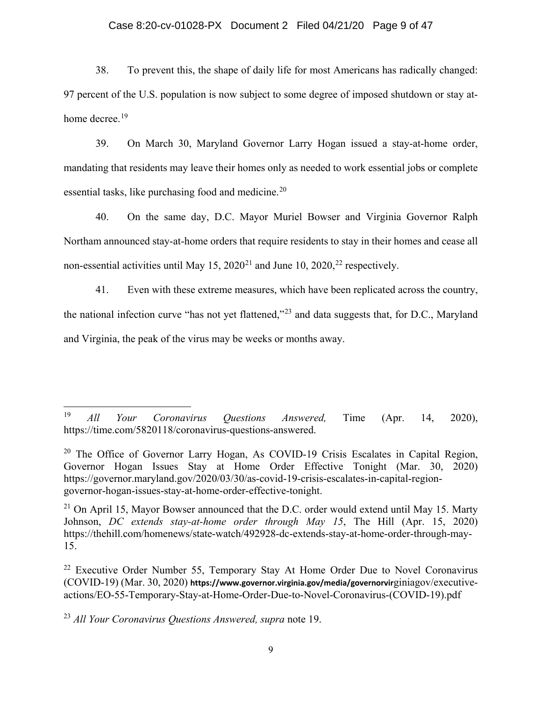#### Case 8:20-cv-01028-PX Document 2 Filed 04/21/20 Page 9 of 47

38. To prevent this, the shape of daily life for most Americans has radically changed: 97 percent of the U.S. population is now subject to some degree of imposed shutdown or stay at-home decree.<sup>[19](#page-8-0)</sup>

39. On March 30, Maryland Governor Larry Hogan issued a stay-at-home order, mandating that residents may leave their homes only as needed to work essential jobs or complete essential tasks, like purchasing food and medicine.<sup>[20](#page-8-1)</sup>

40. On the same day, D.C. Mayor Muriel Bowser and Virginia Governor Ralph Northam announced stay-at-home orders that require residents to stay in their homes and cease all non-essential activities until May 15, 2020<sup>[21](#page-8-2)</sup> and June 10, 2020,<sup>[22](#page-8-3)</sup> respectively.

41. Even with these extreme measures, which have been replicated across the country, the national infection curve "has not yet flattened,"[23](#page-8-4) and data suggests that, for D.C., Maryland and Virginia, the peak of the virus may be weeks or months away.

<span id="page-8-0"></span><sup>19</sup> <sup>19</sup> *All Your Coronavirus Questions Answered,* Time (Apr. 14, 2020), https://time.com/5820118/coronavirus-questions-answered.

<span id="page-8-1"></span><sup>&</sup>lt;sup>20</sup> The Office of Governor Larry Hogan, As COVID-19 Crisis Escalates in Capital Region, Governor Hogan Issues Stay at Home Order Effective Tonight (Mar. 30, 2020) https://governor.maryland.gov/2020/03/30/as-covid-19-crisis-escalates-in-capital-regiongovernor-hogan-issues-stay-at-home-order-effective-tonight.

<span id="page-8-2"></span> $21$  On April 15, Mayor Bowser announced that the D.C. order would extend until May 15. Marty Johnson, *DC extends stay-at-home order through May 15*, The Hill (Apr. 15, 2020) https://thehill.com/homenews/state-watch/492928-dc-extends-stay-at-home-order-through-may-15.

<span id="page-8-3"></span> $22$  Executive Order Number 55, Temporary Stay At Home Order Due to Novel Coronavirus (COVID-19) (Mar. 30, 2020) **https://www.governor.virginia.gov/media/governorvir**giniagov/executiveactions/EO-55-Temporary-Stay-at-Home-Order-Due-to-Novel-Coronavirus-(COVID-19).pdf

<span id="page-8-4"></span><sup>23</sup> *All Your Coronavirus Questions Answered, supra* note 19.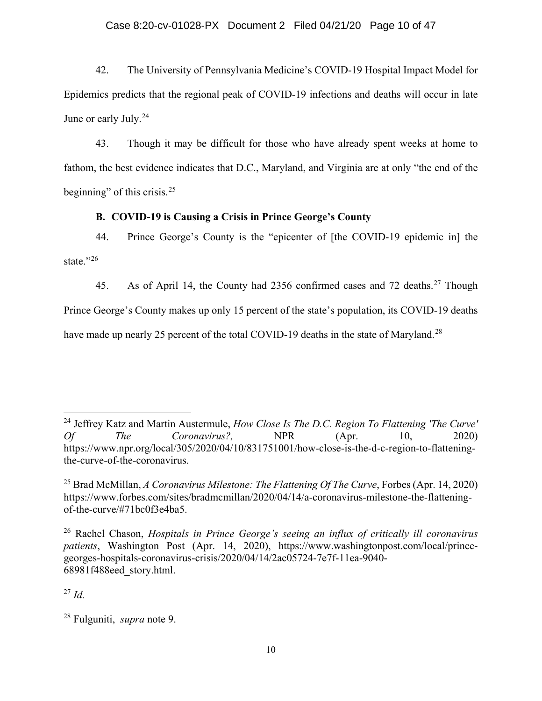### Case 8:20-cv-01028-PX Document 2 Filed 04/21/20 Page 10 of 47

42. The University of Pennsylvania Medicine's COVID-19 Hospital Impact Model for Epidemics predicts that the regional peak of COVID-19 infections and deaths will occur in late June or early July.<sup>[24](#page-9-0)</sup>

43. Though it may be difficult for those who have already spent weeks at home to fathom, the best evidence indicates that D.C., Maryland, and Virginia are at only "the end of the beginning" of this crisis. $25$ 

# **B. COVID-19 is Causing a Crisis in Prince George's County**

44. Prince George's County is the "epicenter of [the COVID-19 epidemic in] the state."<sup>[26](#page-9-2)</sup>

45. As of April 14, the County had 2356 confirmed cases and 72 deaths.<sup>[27](#page-9-3)</sup> Though

Prince George's County makes up only 15 percent of the state's population, its COVID-19 deaths

have made up nearly 25 percent of the total COVID-19 deaths in the state of Maryland.<sup>[28](#page-9-4)</sup>

<span id="page-9-3"></span> $^{27}$  *Id.* 

 $\ddot{\phantom{a}}$ 

<span id="page-9-0"></span><sup>24</sup> Jeffrey Katz and Martin Austermule, *How Close Is The D.C. Region To Flattening 'The Curve' Of The Coronavirus?,* NPR (Apr. 10, 2020) https://www.npr.org/local/305/2020/04/10/831751001/how-close-is-the-d-c-region-to-flatteningthe-curve-of-the-coronavirus.

<span id="page-9-1"></span><sup>25</sup> Brad McMillan, *A Coronavirus Milestone: The Flattening Of The Curve*, Forbes (Apr. 14, 2020) https://www.forbes.com/sites/bradmcmillan/2020/04/14/a-coronavirus-milestone-the-flatteningof-the-curve/#71bc0f3e4ba5.

<span id="page-9-2"></span><sup>26</sup> Rachel Chason, *Hospitals in Prince George's seeing an influx of critically ill coronavirus patients*, Washington Post (Apr. 14, 2020), https://www.washingtonpost.com/local/princegeorges-hospitals-coronavirus-crisis/2020/04/14/2ac05724-7e7f-11ea-9040- 68981f488eed\_story.html.

<span id="page-9-4"></span><sup>28</sup> Fulguniti, *supra* note 9.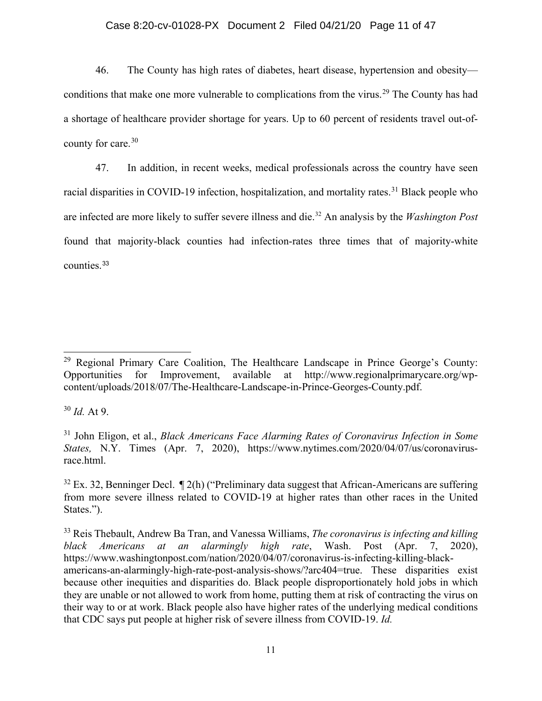## Case 8:20-cv-01028-PX Document 2 Filed 04/21/20 Page 11 of 47

46. The County has high rates of diabetes, heart disease, hypertension and obesity— conditions that make one more vulnerable to complications from the virus.<sup>[29](#page-10-0)</sup> The County has had a shortage of healthcare provider shortage for years. Up to 60 percent of residents travel out-ofcounty for care.[30](#page-10-1)

47. In addition, in recent weeks, medical professionals across the country have seen racial disparities in COVID-19 infection, hospitalization, and mortality rates.<sup>[31](#page-10-2)</sup> Black people who are infected are more likely to suffer severe illness and die.[32](#page-10-3) An analysis by the *Washington Post* found that majority-black counties had infection-rates three times that of majority-white counties.[33](#page-10-4)

<span id="page-10-1"></span><sup>30</sup> *Id.* At 9.

 $\ddot{\phantom{a}}$ 

<span id="page-10-0"></span><sup>&</sup>lt;sup>29</sup> Regional Primary Care Coalition, The Healthcare Landscape in Prince George's County: Opportunities for Improvement, available at http://www.regionalprimarycare.org/wpcontent/uploads/2018/07/The-Healthcare-Landscape-in-Prince-Georges-County.pdf.

<span id="page-10-2"></span><sup>31</sup> John Eligon, et al., *Black Americans Face Alarming Rates of Coronavirus Infection in Some States,* N.Y. Times (Apr. 7, 2020), https://www.nytimes.com/2020/04/07/us/coronavirusrace.html.

<span id="page-10-3"></span> $32$  Ex. 32, Benninger Decl.  $\P$  2(h) ("Preliminary data suggest that African-Americans are suffering from more severe illness related to COVID-19 at higher rates than other races in the United States.").

<span id="page-10-4"></span><sup>33</sup> Reis Thebault, Andrew Ba Tran, and Vanessa Williams, *The coronavirus is infecting and killing black Americans at an alarmingly high rate*, Wash. Post (Apr. 7, 2020), [https://www.washingtonpost.com/nation/2020/04/07/coronavirus-is-infecting-killing-black](https://www.washingtonpost.com/nation/2020/04/07/coronavirus-is-infecting-killing-black-americans-an-alarmingly-high-rate-post-analysis-shows/?arc404=true)[americans-an-alarmingly-high-rate-post-analysis-shows/?arc404=true.](https://www.washingtonpost.com/nation/2020/04/07/coronavirus-is-infecting-killing-black-americans-an-alarmingly-high-rate-post-analysis-shows/?arc404=true) These disparities exist because other inequities and disparities do. Black people disproportionately hold jobs in which they are unable or not allowed to work from home, putting them at risk of contracting the virus on their way to or at work. Black people also have higher rates of the underlying medical conditions that CDC says put people at higher risk of severe illness from COVID-19. *Id.*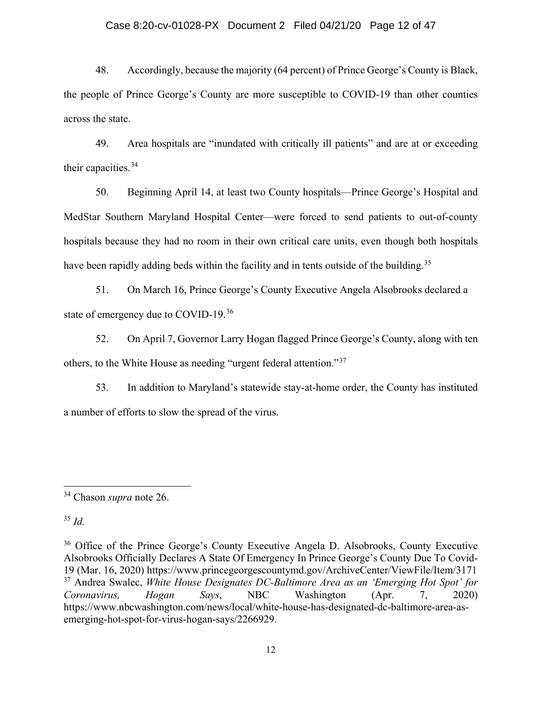## Case 8:20-cv-01028-PX Document 2 Filed 04/21/20 Page 12 of 47

48. Accordingly, because the majority (64 percent) of Prince George's County is Black, the people of Prince George's County are more susceptible to COVID-19 than other counties across the state.

49. Area hospitals are "inundated with critically ill patients" and are at or exceeding their capacities.<sup>[34](#page-11-0)</sup>

50. Beginning April 14, at least two County hospitals—Prince George's Hospital and MedStar Southern Maryland Hospital Center—were forced to send patients to out-of-county hospitals because they had no room in their own critical care units, even though both hospitals have been rapidly adding beds within the facility and in tents outside of the building.<sup>[35](#page-11-1)</sup>

51. On March 16, Prince George's County Executive Angela Alsobrooks declared a state of emergency due to COVID-19.<sup>[36](#page-11-2)</sup>

52. On April 7, Governor Larry Hogan flagged Prince George's County, along with ten others, to the White House as needing "urgent federal attention."[37](#page-11-3)

53. In addition to Maryland's statewide stay-at-home order, the County has instituted a number of efforts to slow the spread of the virus.

<span id="page-11-1"></span> $35$  *Id.* 

<span id="page-11-0"></span><sup>34</sup> Chason *supra* note 26.

<span id="page-11-3"></span><span id="page-11-2"></span><sup>&</sup>lt;sup>36</sup> Office of the Prince George's County Executive Angela D. Alsobrooks, County Executive Alsobrooks Officially Declares A State Of Emergency In Prince George's County Due To Covid-19 (Mar. 16, 2020) https://www.princegeorgescountymd.gov/ArchiveCenter/ViewFile/Item/3171 <sup>37</sup> Andrea Swalec, *White House Designates DC-Baltimore Area as an 'Emerging Hot Spot' for Coronavirus, Hogan Says*, NBC Washington (Apr. 7, 2020) https://www.nbcwashington.com/news/local/white-house-has-designated-dc-baltimore-area-asemerging-hot-spot-for-virus-hogan-says/2266929.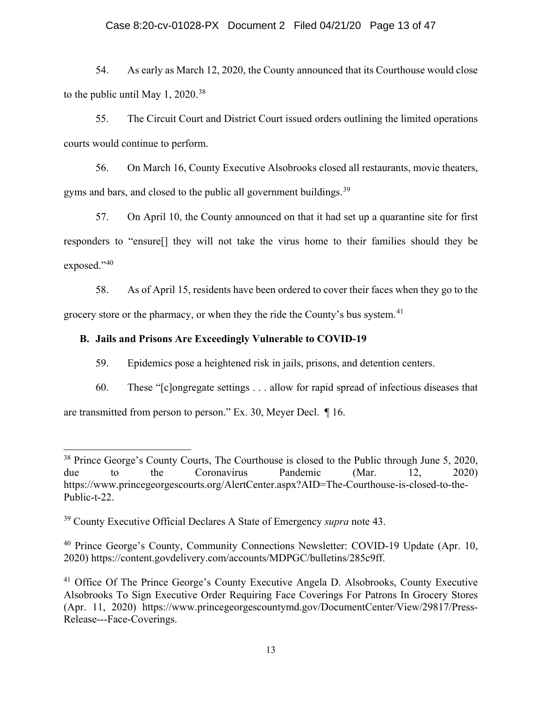### Case 8:20-cv-01028-PX Document 2 Filed 04/21/20 Page 13 of 47

54. As early as March 12, 2020, the County announced that its Courthouse would close to the public until May 1,  $2020.^{38}$  $2020.^{38}$  $2020.^{38}$ 

55. The Circuit Court and District Court issued orders outlining the limited operations courts would continue to perform.

56. On March 16, County Executive Alsobrooks closed all restaurants, movie theaters, gyms and bars, and closed to the public all government buildings.<sup>[39](#page-12-1)</sup>

57. On April 10, the County announced on that it had set up a quarantine site for first responders to "ensure[] they will not take the virus home to their families should they be exposed."[40](#page-12-2)

58. As of April 15, residents have been ordered to cover their faces when they go to the grocery store or the pharmacy, or when they the ride the County's bus system.<sup>[41](#page-12-3)</sup>

# **B. Jails and Prisons Are Exceedingly Vulnerable to COVID-19**

59. Epidemics pose a heightened risk in jails, prisons, and detention centers.

60. These "[c]ongregate settings . . . allow for rapid spread of infectious diseases that are transmitted from person to person." Ex. 30, Meyer Decl. ¶ 16.

<span id="page-12-0"></span> $\overline{a}$ <sup>38</sup> Prince George's County Courts, The Courthouse is closed to the Public through June 5, 2020, due to the Coronavirus Pandemic (Mar. 12, 2020) https://www.princegeorgescourts.org/AlertCenter.aspx?AID=The-Courthouse-is-closed-to-the-Public-t-22.

<span id="page-12-1"></span><sup>39</sup> County Executive Official Declares A State of Emergency *supra* note 43.

<span id="page-12-2"></span><sup>&</sup>lt;sup>40</sup> Prince George's County, Community Connections Newsletter: COVID-19 Update (Apr. 10, 2020) https://content.govdelivery.com/accounts/MDPGC/bulletins/285c9ff.

<span id="page-12-3"></span><sup>&</sup>lt;sup>41</sup> Office Of The Prince George's County Executive Angela D. Alsobrooks, County Executive Alsobrooks To Sign Executive Order Requiring Face Coverings For Patrons In Grocery Stores (Apr. 11, 2020) https://www.princegeorgescountymd.gov/DocumentCenter/View/29817/Press-Release---Face-Coverings.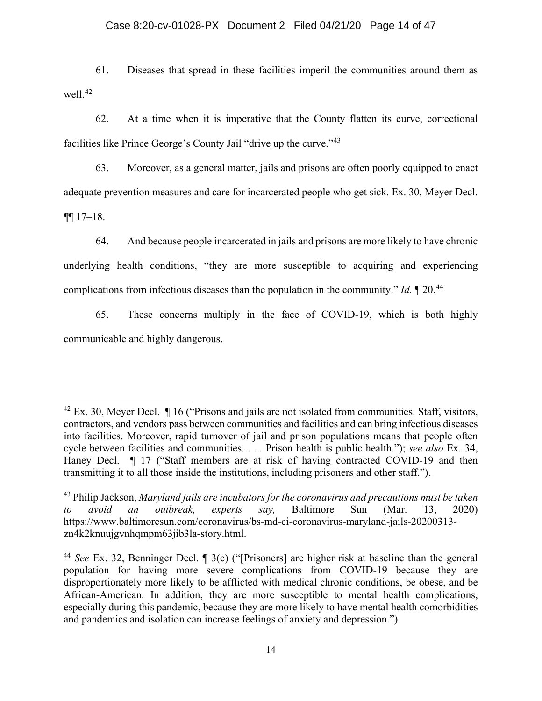#### Case 8:20-cv-01028-PX Document 2 Filed 04/21/20 Page 14 of 47

61. Diseases that spread in these facilities imperil the communities around them as well.<sup>[42](#page-13-0)</sup>

62. At a time when it is imperative that the County flatten its curve, correctional facilities like Prince George's County Jail "drive up the curve."[43](#page-13-1)

63. Moreover, as a general matter, jails and prisons are often poorly equipped to enact adequate prevention measures and care for incarcerated people who get sick. Ex. 30, Meyer Decl.  $\P\P$  17–18.

64. And because people incarcerated in jails and prisons are more likely to have chronic underlying health conditions, "they are more susceptible to acquiring and experiencing complications from infectious diseases than the population in the community." *Id.* ¶ 20.[44](#page-13-2)

65. These concerns multiply in the face of COVID-19, which is both highly communicable and highly dangerous.

<span id="page-13-0"></span> $^{42}$  Ex. 30, Meyer Decl.  $\parallel$  16 ("Prisons and jails are not isolated from communities. Staff, visitors, contractors, and vendors pass between communities and facilities and can bring infectious diseases into facilities. Moreover, rapid turnover of jail and prison populations means that people often cycle between facilities and communities. . . . Prison health is public health."); *see also* Ex. 34, Haney Decl.  $\blacksquare$  17 ("Staff members are at risk of having contracted COVID-19 and then transmitting it to all those inside the institutions, including prisoners and other staff.").

<span id="page-13-1"></span><sup>43</sup> Philip Jackson, *Maryland jails are incubators for the coronavirus and precautions must be taken to avoid an outbreak, experts say,* Baltimore Sun (Mar. 13, 2020) https://www.baltimoresun.com/coronavirus/bs-md-ci-coronavirus-maryland-jails-20200313 zn4k2knuujgvnhqmpm63jib3la-story.html.

<span id="page-13-2"></span><sup>44</sup> *See* Ex. 32, Benninger Decl. ¶ 3(c) ("[Prisoners] are higher risk at baseline than the general population for having more severe complications from COVID-19 because they are disproportionately more likely to be afflicted with medical chronic conditions, be obese, and be African-American. In addition, they are more susceptible to mental health complications, especially during this pandemic, because they are more likely to have mental health comorbidities and pandemics and isolation can increase feelings of anxiety and depression.").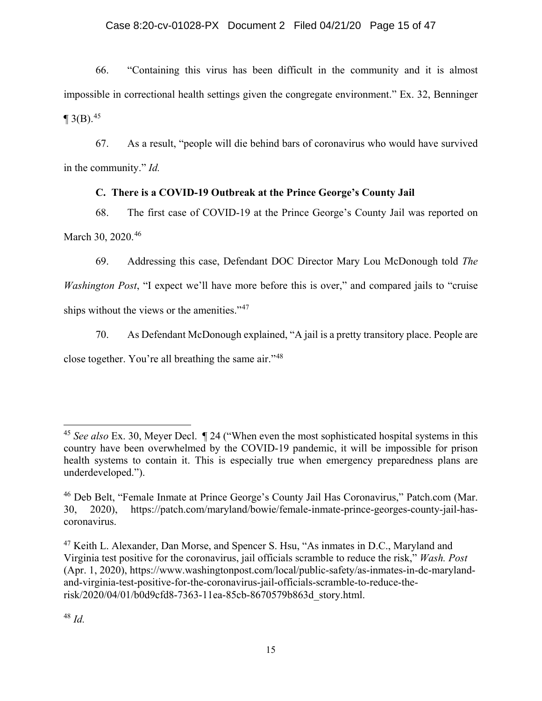# Case 8:20-cv-01028-PX Document 2 Filed 04/21/20 Page 15 of 47

66. "Containing this virus has been difficult in the community and it is almost impossible in correctional health settings given the congregate environment." Ex. 32, Benninger  $\P$  3(B).<sup>[45](#page-14-0)</sup>

67. As a result, "people will die behind bars of coronavirus who would have survived in the community." *Id.* 

# **C. There is a COVID-19 Outbreak at the Prince George's County Jail**

68. The first case of COVID-19 at the Prince George's County Jail was reported on March 30, 2020.<sup>[46](#page-14-1)</sup>

69. Addressing this case, Defendant DOC Director Mary Lou McDonough told *The* 

*Washington Post*, "I expect we'll have more before this is over," and compared jails to "cruise ships without the views or the amenities."<sup>[47](#page-14-2)</sup>

70. As Defendant McDonough explained, "A jail is a pretty transitory place. People are close together. You're all breathing the same air."[48](#page-14-3)

<span id="page-14-0"></span><sup>45</sup> *See also* Ex. 30, Meyer Decl. ¶ 24 ("When even the most sophisticated hospital systems in this country have been overwhelmed by the COVID-19 pandemic, it will be impossible for prison health systems to contain it. This is especially true when emergency preparedness plans are underdeveloped.").

<span id="page-14-1"></span><sup>46</sup> Deb Belt, "Female Inmate at Prince George's County Jail Has Coronavirus," Patch.com (Mar. 30, 2020), [https://patch.com/maryland/bowie/female-inmate-prince-georges-county-jail-has](https://patch.com/maryland/bowie/female-inmate-prince-georges-county-jail-has-coronavirus)[coronavirus.](https://patch.com/maryland/bowie/female-inmate-prince-georges-county-jail-has-coronavirus)

<span id="page-14-3"></span><span id="page-14-2"></span><sup>&</sup>lt;sup>47</sup> Keith L. Alexander, Dan Morse, and Spencer S. Hsu, "As inmates in D.C., Maryland and Virginia test positive for the coronavirus, jail officials scramble to reduce the risk," *Wash. Post* (Apr. 1, 2020), https://www.washingtonpost.com/local/public-safety/as-inmates-in-dc-marylandand-virginia-test-positive-for-the-coronavirus-jail-officials-scramble-to-reduce-therisk/2020/04/01/b0d9cfd8-7363-11ea-85cb-8670579b863d\_story.html.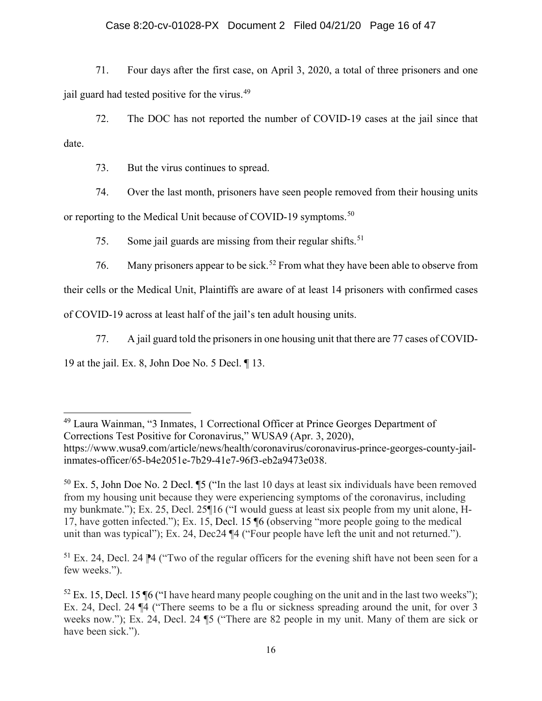# Case 8:20-cv-01028-PX Document 2 Filed 04/21/20 Page 16 of 47

71. Four days after the first case, on April 3, 2020, a total of three prisoners and one jail guard had tested positive for the virus.<sup>[49](#page-15-0)</sup>

72. The DOC has not reported the number of COVID-19 cases at the jail since that date.

73. But the virus continues to spread.

74. Over the last month, prisoners have seen people removed from their housing units

or reporting to the Medical Unit because of COVID-19 symptoms.<sup>[50](#page-15-1)</sup>

75. Some jail guards are missing from their regular shifts.<sup>[51](#page-15-2)</sup>

76. Many prisoners appear to be sick.<sup>[52](#page-15-3)</sup> From what they have been able to observe from

their cells or the Medical Unit, Plaintiffs are aware of at least 14 prisoners with confirmed cases

of COVID-19 across at least half of the jail's ten adult housing units.

77. A jail guard told the prisoners in one housing unit that there are 77 cases of COVID-

19 at the jail. Ex. 8, John Doe No. 5 Decl. ¶ 13.

 $\ddot{\phantom{a}}$ 

<span id="page-15-2"></span> $51$  Ex. 24, Decl. 24  $\blacktriangleright$ 4 ("Two of the regular officers for the evening shift have not been seen for a few weeks.").

<span id="page-15-0"></span><sup>&</sup>lt;sup>49</sup> Laura Wainman, "3 Inmates, 1 Correctional Officer at Prince Georges Department of Corrections Test Positive for Coronavirus," WUSA9 (Apr. 3, 2020), https://www.wusa9.com/article/news/health/coronavirus/coronavirus-prince-georges-county-jailinmates-officer/65-b4e2051e-7b29-41e7-96f3-eb2a9473e038.

<span id="page-15-1"></span> $50$  Ex. 5, John Doe No. 2 Decl.  $\sqrt{5}$  ("In the last 10 days at least six individuals have been removed from my housing unit because they were experiencing symptoms of the coronavirus, including my bunkmate."); Ex. 25, Decl. 25¶16 ("I would guess at least six people from my unit alone, H-17, have gotten infected."); Ex. 15, Decl. 15 ¶6 (observing "more people going to the medical unit than was typical"); Ex. 24, Dec24 ¶4 ("Four people have left the unit and not returned.").

<span id="page-15-3"></span> $52$  Ex. 15, Decl. 15 ¶6 ("I have heard many people coughing on the unit and in the last two weeks"); Ex. 24, Decl. 24 ¶4 ("There seems to be a flu or sickness spreading around the unit, for over 3 weeks now."); Ex. 24, Decl. 24 ¶5 ("There are 82 people in my unit. Many of them are sick or have been sick.").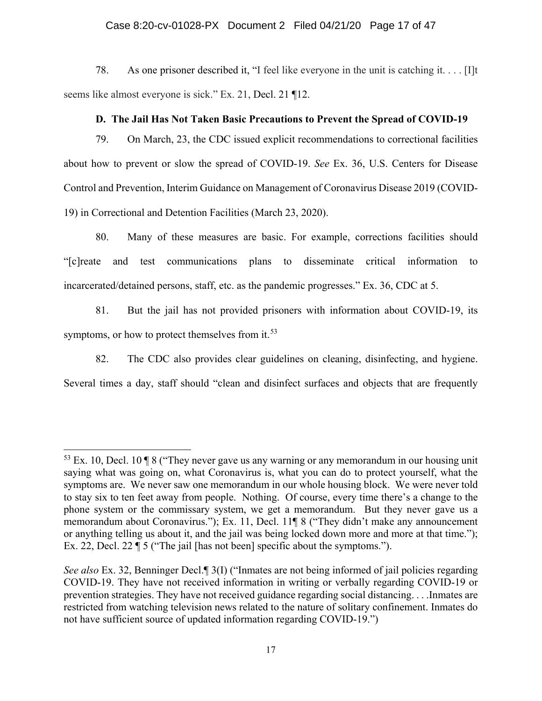### Case 8:20-cv-01028-PX Document 2 Filed 04/21/20 Page 17 of 47

78. As one prisoner described it, "I feel like everyone in the unit is catching it. . . . [I]t seems like almost everyone is sick." Ex. 21, Decl. 21 ¶12.

# **D. The Jail Has Not Taken Basic Precautions to Prevent the Spread of COVID-19**

79. On March, 23, the CDC issued explicit recommendations to correctional facilities about how to prevent or slow the spread of COVID-19. *See* Ex. 36, U.S. Centers for Disease Control and Prevention, Interim Guidance on Management of Coronavirus Disease 2019 (COVID-19) in Correctional and Detention Facilities (March 23, 2020).

80. Many of these measures are basic. For example, corrections facilities should "[c]reate and test communications plans to disseminate critical information to incarcerated/detained persons, staff, etc. as the pandemic progresses." Ex. 36, CDC at 5.

81. But the jail has not provided prisoners with information about COVID-19, its symptoms, or how to protect themselves from it. $53$ 

82. The CDC also provides clear guidelines on cleaning, disinfecting, and hygiene.

Several times a day, staff should "clean and disinfect surfaces and objects that are frequently

<span id="page-16-0"></span> $53$  Ex. 10, Decl. 10 ¶ 8 ("They never gave us any warning or any memorandum in our housing unit saying what was going on, what Coronavirus is, what you can do to protect yourself, what the symptoms are. We never saw one memorandum in our whole housing block. We were never told to stay six to ten feet away from people. Nothing. Of course, every time there's a change to the phone system or the commissary system, we get a memorandum. But they never gave us a memorandum about Coronavirus."); Ex. 11, Decl. 11¶ 8 ("They didn't make any announcement or anything telling us about it, and the jail was being locked down more and more at that time."); Ex. 22, Decl. 22 ¶ 5 ("The jail [has not been] specific about the symptoms.").

*See also* Ex. 32, Benninger Decl.¶ 3(I) ("Inmates are not being informed of jail policies regarding COVID-19. They have not received information in writing or verbally regarding COVID-19 or prevention strategies. They have not received guidance regarding social distancing. . . .Inmates are restricted from watching television news related to the nature of solitary confinement. Inmates do not have sufficient source of updated information regarding COVID-19.")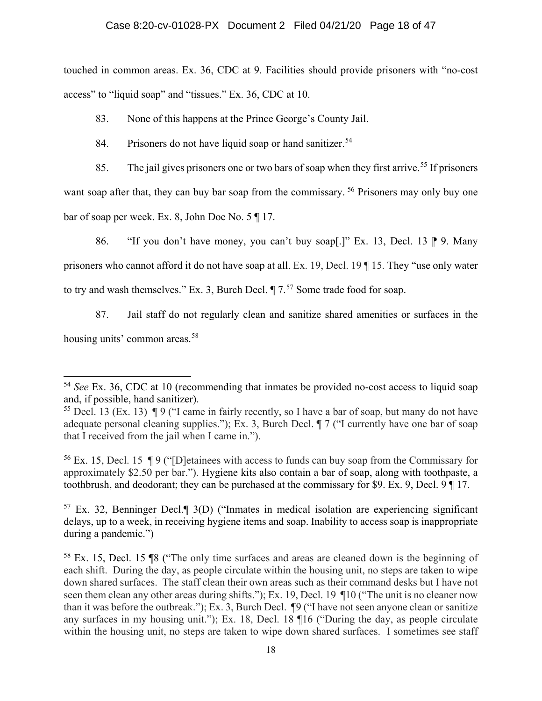## Case 8:20-cv-01028-PX Document 2 Filed 04/21/20 Page 18 of 47

touched in common areas. Ex. 36, CDC at 9. Facilities should provide prisoners with "no-cost access" to "liquid soap" and "tissues." Ex. 36, CDC at 10.

83. None of this happens at the Prince George's County Jail.

84. Prisoners do not have liquid soap or hand sanitizer.<sup>[54](#page-17-0)</sup>

85. The jail gives prisoners one or two bars of soap when they first arrive.<sup>[55](#page-17-1)</sup> If prisoners want soap after that, they can buy bar soap from the commissary. <sup>[56](#page-17-2)</sup> Prisoners may only buy one bar of soap per week. Ex. 8, John Doe No. 5 ¶ 17.

86. "If you don't have money, you can't buy soap[.]" Ex. 13, Decl. 13  $\mathbb{P}$  9. Many prisoners who cannot afford it do not have soap at all. Ex. 19, Decl. 19 ¶ 15. They "use only water to try and wash themselves." Ex. 3, Burch Decl.  $\P$  7.<sup>[57](#page-17-3)</sup> Some trade food for soap.

87. Jail staff do not regularly clean and sanitize shared amenities or surfaces in the housing units' common areas.<sup>[58](#page-17-4)</sup>

<span id="page-17-2"></span><sup>56</sup> Ex. 15, Decl. 15  $\P$  9 ("D etainees with access to funds can buy soap from the Commissary for approximately \$2.50 per bar."). Hygiene kits also contain a bar of soap, along with toothpaste, a toothbrush, and deodorant; they can be purchased at the commissary for \$9. Ex. 9, Decl. 9 ¶ 17.

<span id="page-17-3"></span><sup>57</sup> Ex. 32, Benninger Decl.¶ 3(D) ("Inmates in medical isolation are experiencing significant delays, up to a week, in receiving hygiene items and soap. Inability to access soap is inappropriate during a pandemic.")

<span id="page-17-4"></span><sup>58</sup> Ex. 15, Decl. 15 ¶8 ("The only time surfaces and areas are cleaned down is the beginning of each shift. During the day, as people circulate within the housing unit, no steps are taken to wipe down shared surfaces. The staff clean their own areas such as their command desks but I have not seen them clean any other areas during shifts."); Ex. 19, Decl. 19 ¶10 ("The unit is no cleaner now than it was before the outbreak."); Ex. 3, Burch Decl. ¶9 ("I have not seen anyone clean or sanitize any surfaces in my housing unit."); Ex. 18, Decl. 18 ¶16 ("During the day, as people circulate within the housing unit, no steps are taken to wipe down shared surfaces. I sometimes see staff

<span id="page-17-0"></span> $\overline{a}$ <sup>54</sup> *See* Ex. 36, CDC at 10 (recommending that inmates be provided no-cost access to liquid soap and, if possible, hand sanitizer).

<span id="page-17-1"></span><sup>&</sup>lt;sup>55</sup> Decl. 13 (Ex. 13)  $\P$  9 ("I came in fairly recently, so I have a bar of soap, but many do not have adequate personal cleaning supplies."); Ex. 3, Burch Decl. ¶ 7 ("I currently have one bar of soap that I received from the jail when I came in.").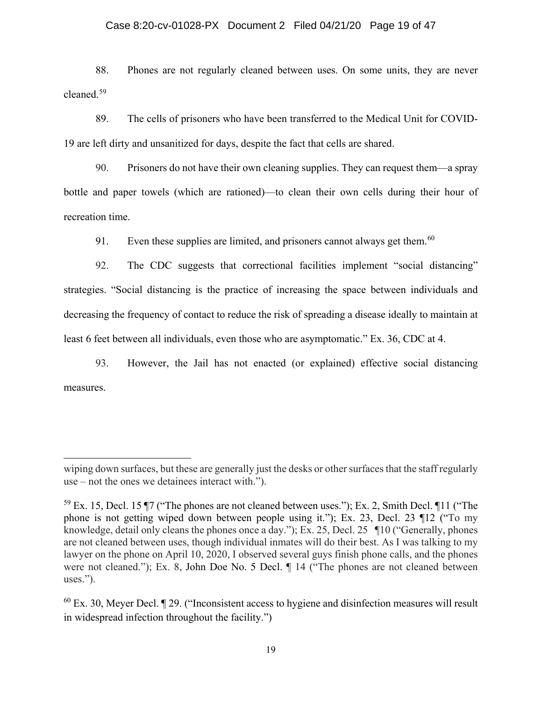#### Case 8:20-cv-01028-PX Document 2 Filed 04/21/20 Page 19 of 47

88. Phones are not regularly cleaned between uses. On some units, they are never cleaned.[59](#page-18-0)

89. The cells of prisoners who have been transferred to the Medical Unit for COVID-19 are left dirty and unsanitized for days, despite the fact that cells are shared.

90. Prisoners do not have their own cleaning supplies. They can request them—a spray bottle and paper towels (which are rationed)—to clean their own cells during their hour of recreation time.

91. Even these supplies are limited, and prisoners cannot always get them.<sup>[60](#page-18-1)</sup>

92. The CDC suggests that correctional facilities implement "social distancing" strategies. "Social distancing is the practice of increasing the space between individuals and decreasing the frequency of contact to reduce the risk of spreading a disease ideally to maintain at least 6 feet between all individuals, even those who are asymptomatic." Ex. 36, CDC at 4.

93. However, the Jail has not enacted (or explained) effective social distancing measures.

wiping down surfaces, but these are generally just the desks or other surfaces that the staff regularly use – not the ones we detainees interact with.").

<span id="page-18-0"></span><sup>&</sup>lt;sup>59</sup> Ex. 15, Decl. 15  $\P$ 7 ("The phones are not cleaned between uses."); Ex. 2, Smith Decl.  $\P$ 11 ("The phone is not getting wiped down between people using it."); Ex. 23, Decl. 23 ¶12 ("To my knowledge, detail only cleans the phones once a day."); Ex. 25, Decl. 25 ¶10 ("Generally, phones are not cleaned between uses, though individual inmates will do their best. As I was talking to my lawyer on the phone on April 10, 2020, I observed several guys finish phone calls, and the phones were not cleaned."); Ex. 8, John Doe No. 5 Decl. ¶ 14 ("The phones are not cleaned between uses.").

<span id="page-18-1"></span> $60$  Ex. 30, Meyer Decl.  $\P$  29. ("Inconsistent access to hygiene and disinfection measures will result in widespread infection throughout the facility.")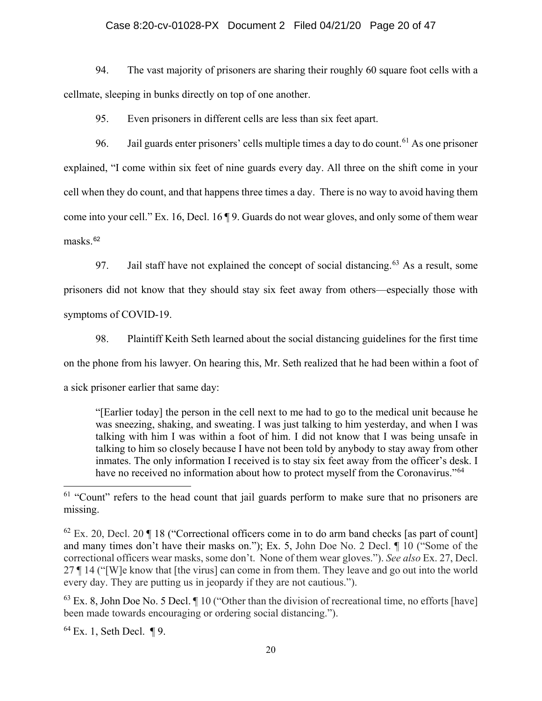### Case 8:20-cv-01028-PX Document 2 Filed 04/21/20 Page 20 of 47

94. The vast majority of prisoners are sharing their roughly 60 square foot cells with a cellmate, sleeping in bunks directly on top of one another.

95. Even prisoners in different cells are less than six feet apart.

96. Jail guards enter prisoners' cells multiple times a day to do count.<sup>[61](#page-19-0)</sup> As one prisoner explained, "I come within six feet of nine guards every day. All three on the shift come in your cell when they do count, and that happens three times a day. There is no way to avoid having them come into your cell." Ex. 16, Decl. 16 ¶ 9. Guards do not wear gloves, and only some of them wear masks.[62](#page-19-1)

97. Jail staff have not explained the concept of social distancing.<sup>[63](#page-19-2)</sup> As a result, some prisoners did not know that they should stay six feet away from others—especially those with symptoms of COVID-19.

98. Plaintiff Keith Seth learned about the social distancing guidelines for the first time on the phone from his lawyer. On hearing this, Mr. Seth realized that he had been within a foot of a sick prisoner earlier that same day:

"[Earlier today] the person in the cell next to me had to go to the medical unit because he was sneezing, shaking, and sweating. I was just talking to him yesterday, and when I was talking with him I was within a foot of him. I did not know that I was being unsafe in talking to him so closely because I have not been told by anybody to stay away from other inmates. The only information I received is to stay six feet away from the officer's desk. I have no received no information about how to protect myself from the Coronavirus."<sup>[64](#page-19-3)</sup>

<span id="page-19-2"></span> $^{63}$  Ex. 8, John Doe No. 5 Decl.  $\llbracket$  10 ("Other than the division of recreational time, no efforts [have] been made towards encouraging or ordering social distancing.").

<span id="page-19-3"></span> $64$  Ex. 1, Seth Decl. ¶ 9.

<span id="page-19-0"></span> $61$  "Count" refers to the head count that jail guards perform to make sure that no prisoners are missing.

<span id="page-19-1"></span> $62$  Ex. 20, Decl. 20  $\P$  18 ("Correctional officers come in to do arm band checks [as part of count] and many times don't have their masks on."); Ex. 5, John Doe No. 2 Decl. ¶ 10 ("Some of the correctional officers wear masks, some don't. None of them wear gloves."). *See also* Ex. 27, Decl. 27 ¶ 14 ("[W]e know that [the virus] can come in from them. They leave and go out into the world every day. They are putting us in jeopardy if they are not cautious.").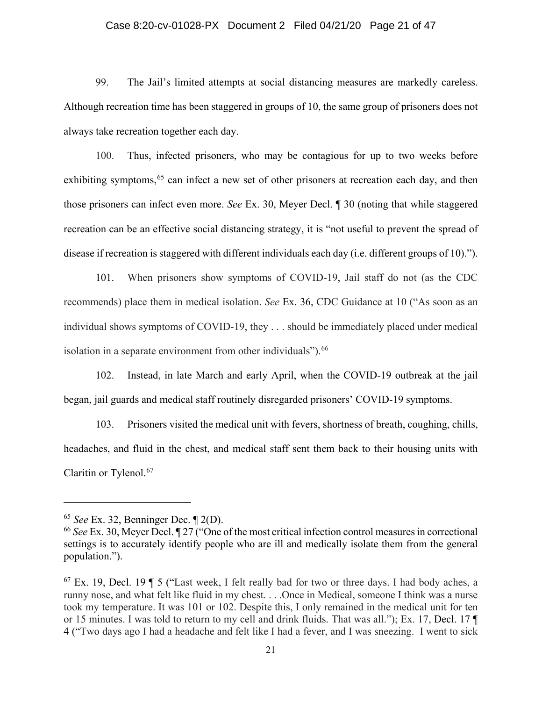## Case 8:20-cv-01028-PX Document 2 Filed 04/21/20 Page 21 of 47

99. The Jail's limited attempts at social distancing measures are markedly careless. Although recreation time has been staggered in groups of 10, the same group of prisoners does not always take recreation together each day.

100. Thus, infected prisoners, who may be contagious for up to two weeks before exhibiting symptoms,<sup>[65](#page-20-0)</sup> can infect a new set of other prisoners at recreation each day, and then those prisoners can infect even more. *See* Ex. 30, Meyer Decl. ¶ 30 (noting that while staggered recreation can be an effective social distancing strategy, it is "not useful to prevent the spread of disease if recreation is staggered with different individuals each day (i.e. different groups of 10).").

101. When prisoners show symptoms of COVID-19, Jail staff do not (as the CDC recommends) place them in medical isolation. *See* Ex. 36, CDC Guidance at 10 ("As soon as an individual shows symptoms of COVID-19, they . . . should be immediately placed under medical isolation in a separate environment from other individuals"). <sup>[66](#page-20-1)</sup>

102. Instead, in late March and early April, when the COVID-19 outbreak at the jail began, jail guards and medical staff routinely disregarded prisoners' COVID-19 symptoms.

103. Prisoners visited the medical unit with fevers, shortness of breath, coughing, chills, headaches, and fluid in the chest, and medical staff sent them back to their housing units with Claritin or Tylenol.<sup>[67](#page-20-2)</sup>

<span id="page-20-0"></span><sup>65</sup> *See* Ex. 32, Benninger Dec. ¶ 2(D).

<span id="page-20-1"></span><sup>66</sup> *See* Ex. 30, Meyer Decl. ¶ 27 ("One of the most critical infection control measures in correctional settings is to accurately identify people who are ill and medically isolate them from the general population.").

<span id="page-20-2"></span> $67$  Ex. 19, Decl. 19  $\sqrt{ }$  5 ("Last week, I felt really bad for two or three days. I had body aches, a runny nose, and what felt like fluid in my chest. . . .Once in Medical, someone I think was a nurse took my temperature. It was 101 or 102. Despite this, I only remained in the medical unit for ten or 15 minutes. I was told to return to my cell and drink fluids. That was all."); Ex. 17, Decl. 17 ¶ 4 ("Two days ago I had a headache and felt like I had a fever, and I was sneezing. I went to sick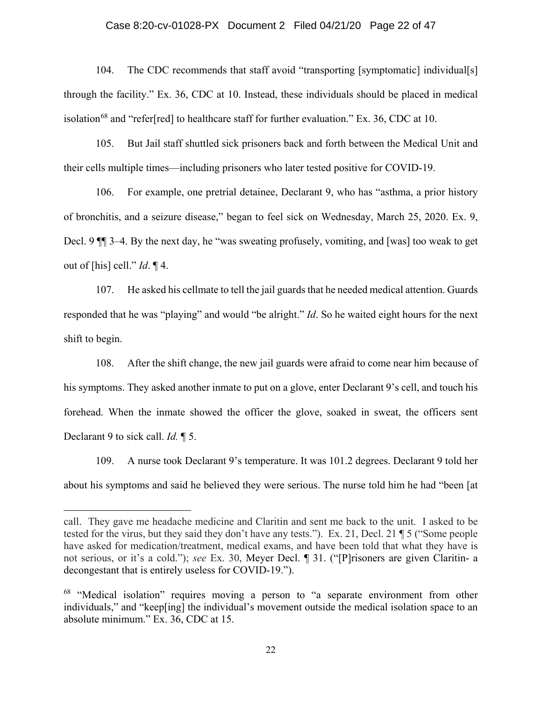#### Case 8:20-cv-01028-PX Document 2 Filed 04/21/20 Page 22 of 47

104. The CDC recommends that staff avoid "transporting [symptomatic] individual[s] through the facility." Ex. 36, CDC at 10. Instead, these individuals should be placed in medical isolation<sup>[68](#page-21-0)</sup> and "refer[red] to healthcare staff for further evaluation." Ex. 36, CDC at 10.

105. But Jail staff shuttled sick prisoners back and forth between the Medical Unit and their cells multiple times—including prisoners who later tested positive for COVID-19.

106. For example, one pretrial detainee, Declarant 9, who has "asthma, a prior history of bronchitis, and a seizure disease," began to feel sick on Wednesday, March 25, 2020. Ex. 9, Decl. 9 ¶¶ 3–4. By the next day, he "was sweating profusely, vomiting, and [was] too weak to get out of [his] cell." *Id*. ¶ 4.

107. He asked his cellmate to tell the jail guards that he needed medical attention. Guards responded that he was "playing" and would "be alright." *Id*. So he waited eight hours for the next shift to begin.

108. After the shift change, the new jail guards were afraid to come near him because of his symptoms. They asked another inmate to put on a glove, enter Declarant 9's cell, and touch his forehead. When the inmate showed the officer the glove, soaked in sweat, the officers sent Declarant 9 to sick call. *Id.* ¶ 5.

109. A nurse took Declarant 9's temperature. It was 101.2 degrees. Declarant 9 told her about his symptoms and said he believed they were serious. The nurse told him he had "been [at

call. They gave me headache medicine and Claritin and sent me back to the unit. I asked to be tested for the virus, but they said they don't have any tests."). Ex. 21, Decl. 21 ¶ 5 ("Some people have asked for medication/treatment, medical exams, and have been told that what they have is not serious, or it's a cold."); *see* Ex. 30, Meyer Decl. ¶ 31. ("[P]risoners are given Claritin- a decongestant that is entirely useless for COVID-19.").

<span id="page-21-0"></span><sup>&</sup>lt;sup>68</sup> "Medical isolation" requires moving a person to "a separate environment from other individuals," and "keep[ing] the individual's movement outside the medical isolation space to an absolute minimum." Ex. 36, CDC at 15.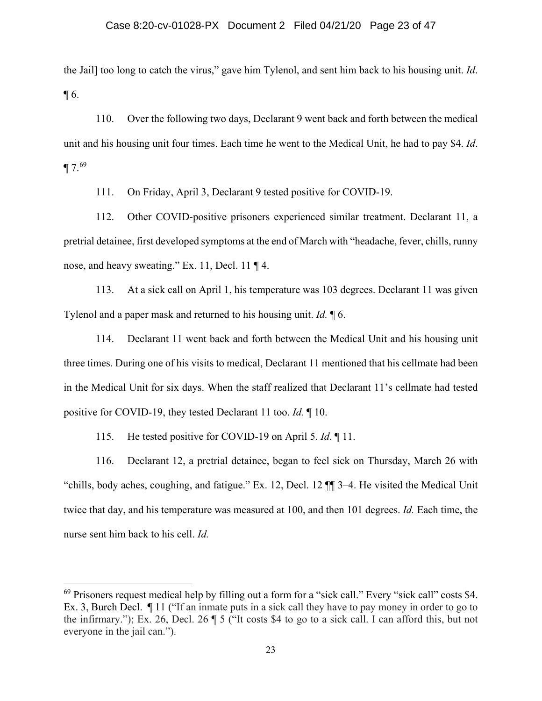the Jail] too long to catch the virus," gave him Tylenol, and sent him back to his housing unit. *Id*.  $\P$  6.

110. Over the following two days, Declarant 9 went back and forth between the medical unit and his housing unit four times. Each time he went to the Medical Unit, he had to pay \$4. *Id*.  $\P 7.69$  $\P 7.69$ 

111. On Friday, April 3, Declarant 9 tested positive for COVID-19.

112. Other COVID-positive prisoners experienced similar treatment. Declarant 11, a pretrial detainee, first developed symptoms at the end of March with "headache, fever, chills, runny nose, and heavy sweating." Ex. 11, Decl. 11 ¶ 4.

113. At a sick call on April 1, his temperature was 103 degrees. Declarant 11 was given Tylenol and a paper mask and returned to his housing unit. *Id.* ¶ 6.

114. Declarant 11 went back and forth between the Medical Unit and his housing unit three times. During one of his visits to medical, Declarant 11 mentioned that his cellmate had been in the Medical Unit for six days. When the staff realized that Declarant 11's cellmate had tested positive for COVID-19, they tested Declarant 11 too. *Id.* ¶ 10.

115. He tested positive for COVID-19 on April 5. *Id*. ¶ 11.

 $\overline{a}$ 

116. Declarant 12, a pretrial detainee, began to feel sick on Thursday, March 26 with "chills, body aches, coughing, and fatigue." Ex. 12, Decl. 12 ¶¶ 3–4. He visited the Medical Unit twice that day, and his temperature was measured at 100, and then 101 degrees. *Id.* Each time, the nurse sent him back to his cell. *Id.* 

<span id="page-22-0"></span><sup>&</sup>lt;sup>69</sup> Prisoners request medical help by filling out a form for a "sick call." Every "sick call" costs \$4. Ex. 3, Burch Decl. ¶ 11 ("If an inmate puts in a sick call they have to pay money in order to go to the infirmary."); Ex. 26, Decl. 26 ¶ 5 ("It costs \$4 to go to a sick call. I can afford this, but not everyone in the jail can.").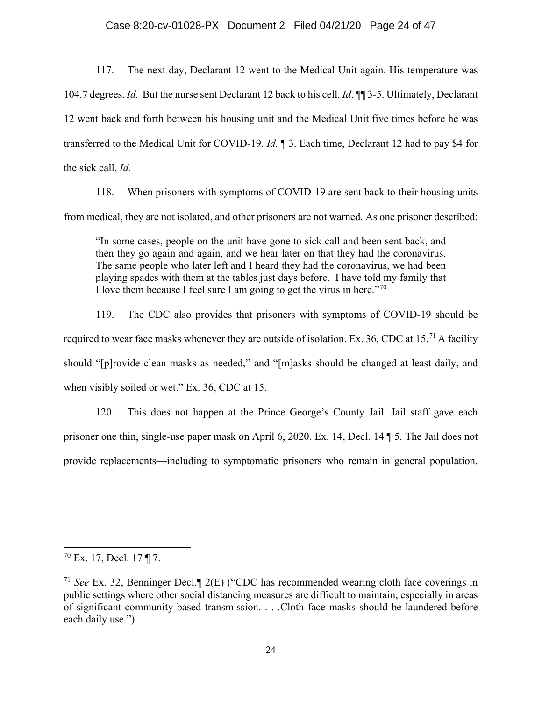#### Case 8:20-cv-01028-PX Document 2 Filed 04/21/20 Page 24 of 47

117. The next day, Declarant 12 went to the Medical Unit again. His temperature was 104.7 degrees. *Id.* But the nurse sent Declarant 12 back to his cell. *Id*. ¶¶ 3-5. Ultimately, Declarant 12 went back and forth between his housing unit and the Medical Unit five times before he was transferred to the Medical Unit for COVID-19. *Id.* ¶ 3. Each time, Declarant 12 had to pay \$4 for the sick call. *Id.* 

118. When prisoners with symptoms of COVID-19 are sent back to their housing units from medical, they are not isolated, and other prisoners are not warned. As one prisoner described:

"In some cases, people on the unit have gone to sick call and been sent back, and then they go again and again, and we hear later on that they had the coronavirus. The same people who later left and I heard they had the coronavirus, we had been playing spades with them at the tables just days before. I have told my family that I love them because I feel sure I am going to get the virus in here."<sup>[70](#page-23-0)</sup>

119. The CDC also provides that prisoners with symptoms of COVID-19 should be required to wear face masks whenever they are outside of isolation. Ex. 36, CDC at  $15.^{71}$  $15.^{71}$  $15.^{71}$  A facility should "[p]rovide clean masks as needed," and "[m]asks should be changed at least daily, and when visibly soiled or wet." Ex. 36, CDC at 15.

120. This does not happen at the Prince George's County Jail. Jail staff gave each prisoner one thin, single-use paper mask on April 6, 2020. Ex. 14, Decl. 14 ¶ 5. The Jail does not provide replacements—including to symptomatic prisoners who remain in general population.

<span id="page-23-0"></span> $70$  Ex. 17, Decl. 17 ¶ 7.

<span id="page-23-1"></span><sup>71</sup> *See* Ex. 32, Benninger Decl.¶ 2(E) ("CDC has recommended wearing cloth face coverings in public settings where other social distancing measures are difficult to maintain, especially in areas of significant community-based transmission. . . .Cloth face masks should be laundered before each daily use.")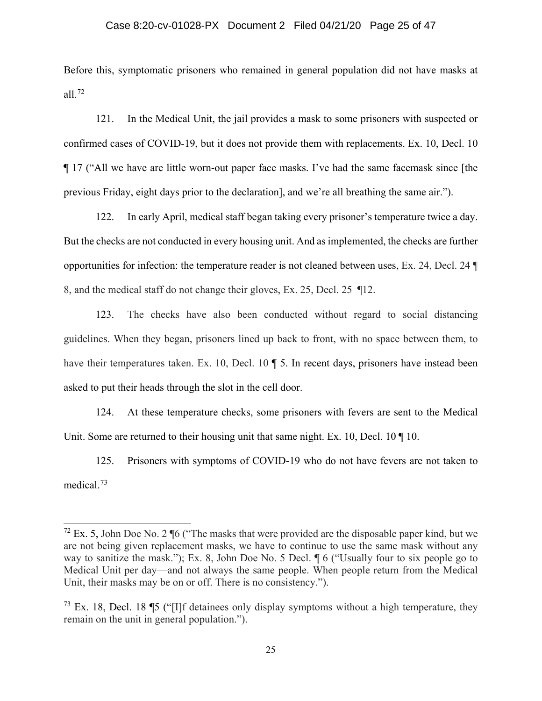#### Case 8:20-cv-01028-PX Document 2 Filed 04/21/20 Page 25 of 47

Before this, symptomatic prisoners who remained in general population did not have masks at all. $72$ 

121. In the Medical Unit, the jail provides a mask to some prisoners with suspected or confirmed cases of COVID-19, but it does not provide them with replacements. Ex. 10, Decl. 10 ¶ 17 ("All we have are little worn-out paper face masks. I've had the same facemask since [the previous Friday, eight days prior to the declaration], and we're all breathing the same air.").

122. In early April, medical staff began taking every prisoner's temperature twice a day. But the checks are not conducted in every housing unit. And as implemented, the checks are further opportunities for infection: the temperature reader is not cleaned between uses, Ex. 24, Decl. 24 ¶ 8, and the medical staff do not change their gloves, Ex. 25, Decl. 25 ¶12.

123. The checks have also been conducted without regard to social distancing guidelines. When they began, prisoners lined up back to front, with no space between them, to have their temperatures taken. Ex. 10, Decl. 10 ¶ 5. In recent days, prisoners have instead been asked to put their heads through the slot in the cell door.

124. At these temperature checks, some prisoners with fevers are sent to the Medical Unit. Some are returned to their housing unit that same night. Ex. 10, Decl.  $10 \parallel 10$ .

125. Prisoners with symptoms of COVID-19 who do not have fevers are not taken to medical.[73](#page-24-1)

<span id="page-24-0"></span> $72$  Ex. 5, John Doe No. 2  $\sqrt{6}$  ("The masks that were provided are the disposable paper kind, but we are not being given replacement masks, we have to continue to use the same mask without any way to sanitize the mask."); Ex. 8, John Doe No. 5 Decl. ¶ 6 ("Usually four to six people go to Medical Unit per day—and not always the same people. When people return from the Medical Unit, their masks may be on or off. There is no consistency.").

<span id="page-24-1"></span><sup>&</sup>lt;sup>73</sup> Ex. 18, Decl. 18  $\P$ 5 ("[I]f detainees only display symptoms without a high temperature, they remain on the unit in general population.").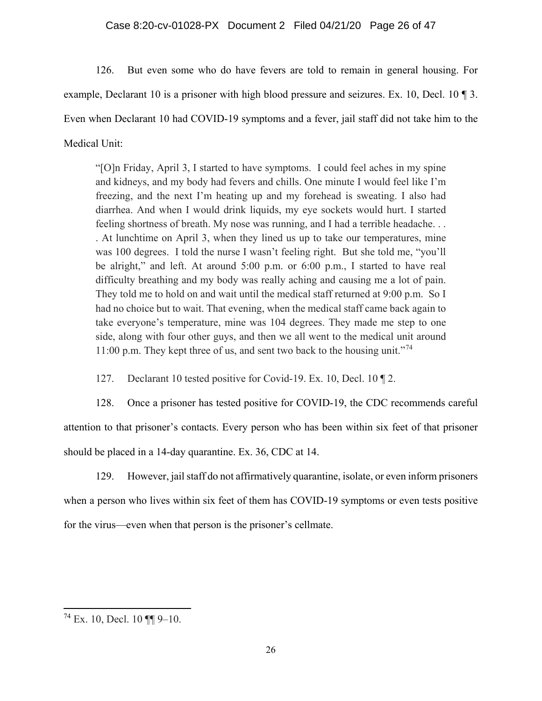### Case 8:20-cv-01028-PX Document 2 Filed 04/21/20 Page 26 of 47

126. But even some who do have fevers are told to remain in general housing. For example, Declarant 10 is a prisoner with high blood pressure and seizures. Ex. 10, Decl. 10 ¶ 3. Even when Declarant 10 had COVID-19 symptoms and a fever, jail staff did not take him to the Medical Unit:

"[O]n Friday, April 3, I started to have symptoms. I could feel aches in my spine and kidneys, and my body had fevers and chills. One minute I would feel like I'm freezing, and the next I'm heating up and my forehead is sweating. I also had diarrhea. And when I would drink liquids, my eye sockets would hurt. I started feeling shortness of breath. My nose was running, and I had a terrible headache. . . . At lunchtime on April 3, when they lined us up to take our temperatures, mine was 100 degrees. I told the nurse I wasn't feeling right. But she told me, "you'll be alright," and left. At around 5:00 p.m. or 6:00 p.m., I started to have real difficulty breathing and my body was really aching and causing me a lot of pain. They told me to hold on and wait until the medical staff returned at 9:00 p.m. So I had no choice but to wait. That evening, when the medical staff came back again to take everyone's temperature, mine was 104 degrees. They made me step to one side, along with four other guys, and then we all went to the medical unit around 11:00 p.m. They kept three of us, and sent two back to the housing unit."<sup>[74](#page-25-0)</sup>

127. Declarant 10 tested positive for Covid-19. Ex. 10, Decl. 10 ¶ 2.

128. Once a prisoner has tested positive for COVID-19, the CDC recommends careful attention to that prisoner's contacts. Every person who has been within six feet of that prisoner should be placed in a 14-day quarantine. Ex. 36, CDC at 14.

129. However, jail staff do not affirmatively quarantine, isolate, or even inform prisoners when a person who lives within six feet of them has COVID-19 symptoms or even tests positive for the virus—even when that person is the prisoner's cellmate.

<span id="page-25-0"></span> $\overline{a}$  $74$  Ex. 10, Decl. 10 [[[  $9-10$ .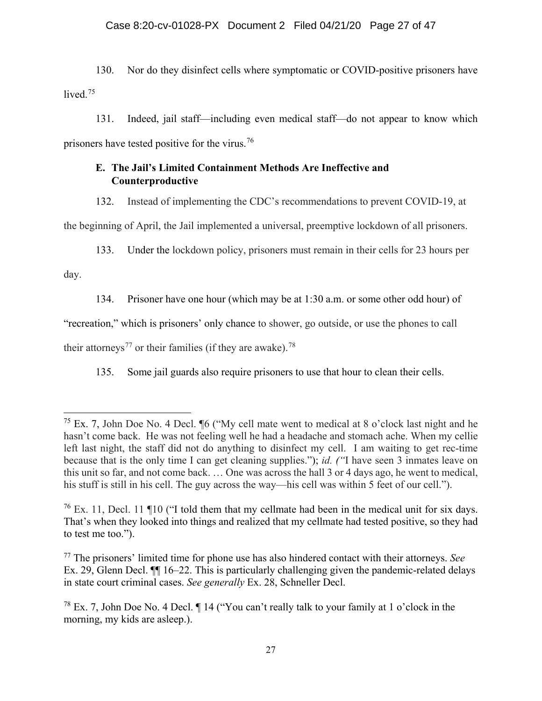130. Nor do they disinfect cells where symptomatic or COVID-positive prisoners have lived.<sup>[75](#page-26-0)</sup>

131. Indeed, jail staff—including even medical staff—do not appear to know which prisoners have tested positive for the virus.[76](#page-26-1)

# **E. The Jail's Limited Containment Methods Are Ineffective and Counterproductive**

132. Instead of implementing the CDC's recommendations to prevent COVID-19, at

the beginning of April, the Jail implemented a universal, preemptive lockdown of all prisoners.

133. Under the lockdown policy, prisoners must remain in their cells for 23 hours per

day.

 $\ddot{\phantom{a}}$ 

134. Prisoner have one hour (which may be at 1:30 a.m. or some other odd hour) of

"recreation," which is prisoners' only chance to shower, go outside, or use the phones to call

their attorneys<sup>[77](#page-26-2)</sup> or their families (if they are awake).<sup>[78](#page-26-3)</sup>

135. Some jail guards also require prisoners to use that hour to clean their cells.

<span id="page-26-0"></span><sup>&</sup>lt;sup>75</sup> Ex. 7, John Doe No. 4 Decl.  $\sqrt{6}$  ("My cell mate went to medical at 8 o'clock last night and he hasn't come back. He was not feeling well he had a headache and stomach ache. When my cellie left last night, the staff did not do anything to disinfect my cell. I am waiting to get rec-time because that is the only time I can get cleaning supplies."); *id. ("*I have seen 3 inmates leave on this unit so far, and not come back. … One was across the hall 3 or 4 days ago, he went to medical, his stuff is still in his cell. The guy across the way—his cell was within 5 feet of our cell.").

<span id="page-26-1"></span> $76$  Ex. 11, Decl. 11  $\P$ 10 ("I told them that my cellmate had been in the medical unit for six days. That's when they looked into things and realized that my cellmate had tested positive, so they had to test me too.").

<span id="page-26-2"></span><sup>77</sup> The prisoners' limited time for phone use has also hindered contact with their attorneys. *See*  Ex. 29, Glenn Decl. ¶¶ 16–22. This is particularly challenging given the pandemic-related delays in state court criminal cases. *See generally* Ex. 28, Schneller Decl.

<span id="page-26-3"></span><sup>78</sup> Ex. 7, John Doe No. 4 Decl. ¶ 14 ("You can't really talk to your family at 1 o'clock in the morning, my kids are asleep.).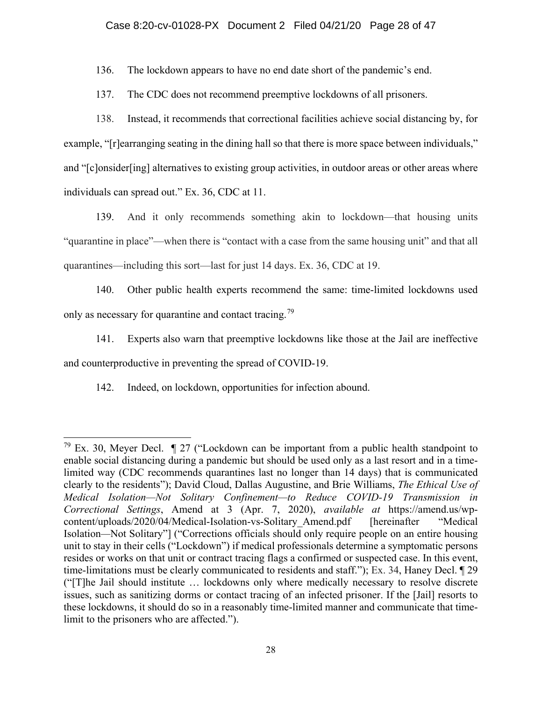### Case 8:20-cv-01028-PX Document 2 Filed 04/21/20 Page 28 of 47

136. The lockdown appears to have no end date short of the pandemic's end.

137. The CDC does not recommend preemptive lockdowns of all prisoners.

138. Instead, it recommends that correctional facilities achieve social distancing by, for example, "[r]earranging seating in the dining hall so that there is more space between individuals," and "[c]onsider[ing] alternatives to existing group activities, in outdoor areas or other areas where individuals can spread out." Ex. 36, CDC at 11.

139. And it only recommends something akin to lockdown—that housing units "quarantine in place"—when there is "contact with a case from the same housing unit" and that all quarantines—including this sort—last for just 14 days. Ex. 36, CDC at 19.

140. Other public health experts recommend the same: time-limited lockdowns used only as necessary for quarantine and contact tracing.<sup>[79](#page-27-0)</sup>

141. Experts also warn that preemptive lockdowns like those at the Jail are ineffective and counterproductive in preventing the spread of COVID-19.

142. Indeed, on lockdown, opportunities for infection abound.

<span id="page-27-0"></span><sup>&</sup>lt;sup>79</sup> Ex. 30, Meyer Decl.  $\P$  27 ("Lockdown can be important from a public health standpoint to enable social distancing during a pandemic but should be used only as a last resort and in a timelimited way (CDC recommends quarantines last no longer than 14 days) that is communicated clearly to the residents"); David Cloud, Dallas Augustine, and Brie Williams, *The Ethical Use of Medical Isolation—Not Solitary Confinement—to Reduce COVID-19 Transmission in Correctional Settings*, Amend at 3 (Apr. 7, 2020), *available at* https://amend.us/wpcontent/uploads/2020/04/Medical-Isolation-vs-Solitary\_Amend.pdf [hereinafter "Medical Isolation*—*Not Solitary"] ("Corrections officials should only require people on an entire housing unit to stay in their cells ("Lockdown") if medical professionals determine a symptomatic persons resides or works on that unit or contract tracing flags a confirmed or suspected case. In this event, time-limitations must be clearly communicated to residents and staff."); Ex. 34, Haney Decl. ¶ 29 ("[T]he Jail should institute … lockdowns only where medically necessary to resolve discrete issues, such as sanitizing dorms or contact tracing of an infected prisoner. If the [Jail] resorts to these lockdowns, it should do so in a reasonably time-limited manner and communicate that timelimit to the prisoners who are affected.").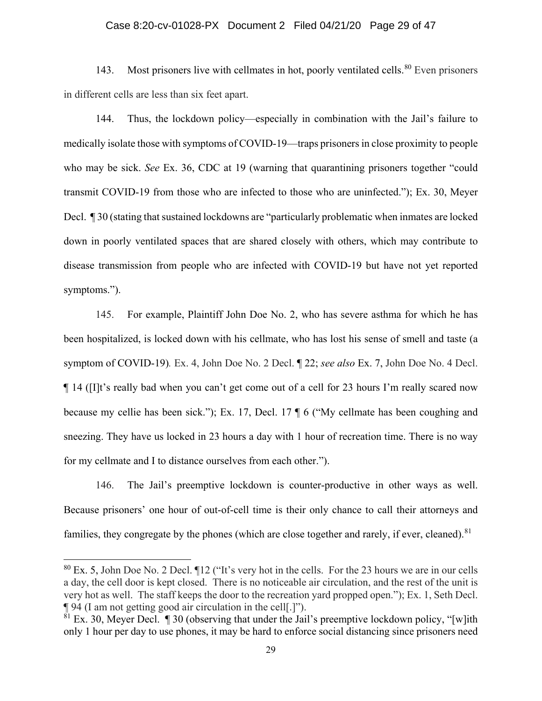### Case 8:20-cv-01028-PX Document 2 Filed 04/21/20 Page 29 of 47

143. Most prisoners live with cellmates in hot, poorly ventilated cells.<sup>[80](#page-28-0)</sup> Even prisoners in different cells are less than six feet apart.

144. Thus, the lockdown policy—especially in combination with the Jail's failure to medically isolate those with symptoms of COVID-19—traps prisoners in close proximity to people who may be sick. *See* Ex. 36, CDC at 19 (warning that quarantining prisoners together "could transmit COVID-19 from those who are infected to those who are uninfected."); Ex. 30, Meyer Decl. ¶ 30 (stating that sustained lockdowns are "particularly problematic when inmates are locked down in poorly ventilated spaces that are shared closely with others, which may contribute to disease transmission from people who are infected with COVID-19 but have not yet reported symptoms.").

145. For example, Plaintiff John Doe No. 2, who has severe asthma for which he has been hospitalized, is locked down with his cellmate, who has lost his sense of smell and taste (a symptom of COVID-19)*.* Ex. 4, John Doe No. 2 Decl. ¶ 22; *see also* Ex. 7, John Doe No. 4 Decl. ¶ 14 ([I]t's really bad when you can't get come out of a cell for 23 hours I'm really scared now because my cellie has been sick."); Ex. 17, Decl. 17 ¶ 6 ("My cellmate has been coughing and sneezing. They have us locked in 23 hours a day with 1 hour of recreation time. There is no way for my cellmate and I to distance ourselves from each other.").

146. The Jail's preemptive lockdown is counter-productive in other ways as well. Because prisoners' one hour of out-of-cell time is their only chance to call their attorneys and families, they congregate by the phones (which are close together and rarely, if ever, cleaned). $81$ 

<span id="page-28-0"></span> $80$  Ex. 5, John Doe No. 2 Decl.  $\P$ 12 ("It's very hot in the cells. For the 23 hours we are in our cells a day, the cell door is kept closed. There is no noticeable air circulation, and the rest of the unit is very hot as well. The staff keeps the door to the recreation yard propped open."); Ex. 1, Seth Decl. ¶ 94 (I am not getting good air circulation in the cell[.]").

<span id="page-28-1"></span> $81$  Ex. 30, Meyer Decl.  $\parallel$  30 (observing that under the Jail's preemptive lockdown policy, "[w]ith only 1 hour per day to use phones, it may be hard to enforce social distancing since prisoners need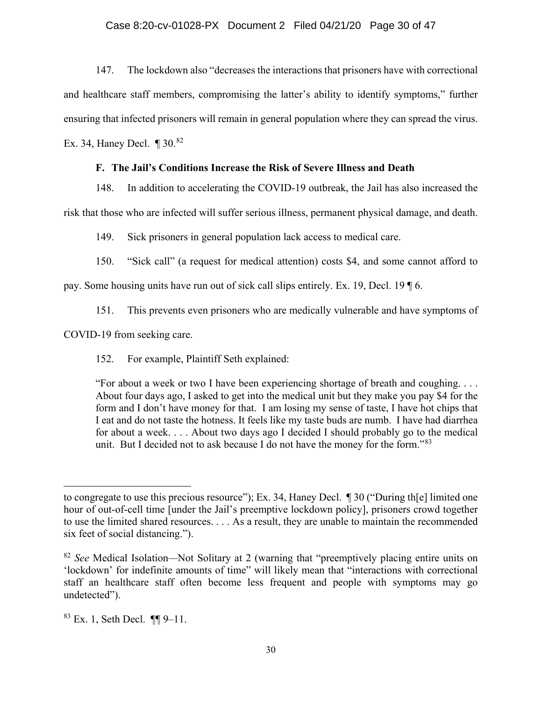### Case 8:20-cv-01028-PX Document 2 Filed 04/21/20 Page 30 of 47

147. The lockdown also "decreases the interactions that prisoners have with correctional and healthcare staff members, compromising the latter's ability to identify symptoms," further ensuring that infected prisoners will remain in general population where they can spread the virus.

Ex. 34, Haney Decl.  $\P$  30.<sup>[82](#page-29-0)</sup>

# **F. The Jail's Conditions Increase the Risk of Severe Illness and Death**

148. In addition to accelerating the COVID-19 outbreak, the Jail has also increased the

risk that those who are infected will suffer serious illness, permanent physical damage, and death.

149. Sick prisoners in general population lack access to medical care.

150. "Sick call" (a request for medical attention) costs \$4, and some cannot afford to

pay. Some housing units have run out of sick call slips entirely. Ex. 19, Decl. 19 ¶ 6.

151. This prevents even prisoners who are medically vulnerable and have symptoms of

COVID-19 from seeking care.

152. For example, Plaintiff Seth explained:

"For about a week or two I have been experiencing shortage of breath and coughing. . . . About four days ago, I asked to get into the medical unit but they make you pay \$4 for the form and I don't have money for that. I am losing my sense of taste, I have hot chips that I eat and do not taste the hotness. It feels like my taste buds are numb. I have had diarrhea for about a week. . . . About two days ago I decided I should probably go to the medical unit. But I decided not to ask because I do not have the money for the form."<sup>[83](#page-29-1)</sup>

to congregate to use this precious resource"); Ex. 34, Haney Decl. ¶ 30 ("During th[e] limited one hour of out-of-cell time [under the Jail's preemptive lockdown policy], prisoners crowd together to use the limited shared resources. . . . As a result, they are unable to maintain the recommended six feet of social distancing.").

<span id="page-29-0"></span><sup>82</sup> *See* Medical Isolation*—*Not Solitary at 2 (warning that "preemptively placing entire units on 'lockdown' for indefinite amounts of time" will likely mean that "interactions with correctional staff an healthcare staff often become less frequent and people with symptoms may go undetected").

<span id="page-29-1"></span> $83$  Ex. 1, Seth Decl.  $\P\P$ 9-11.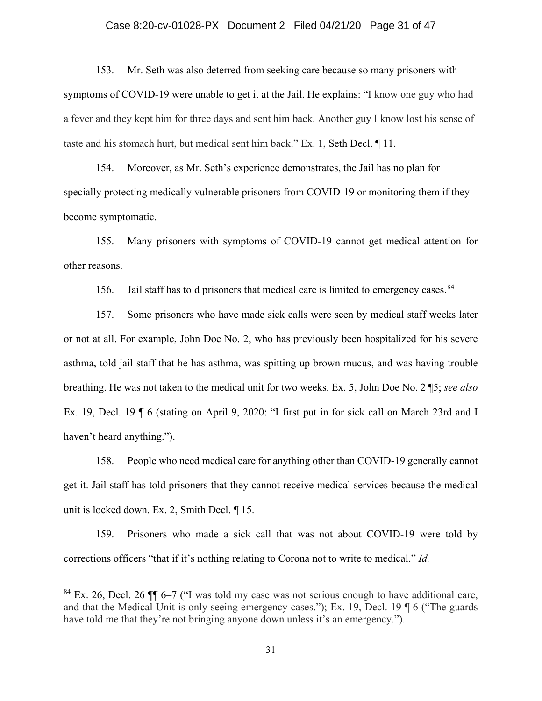#### Case 8:20-cv-01028-PX Document 2 Filed 04/21/20 Page 31 of 47

153. Mr. Seth was also deterred from seeking care because so many prisoners with symptoms of COVID-19 were unable to get it at the Jail. He explains: "I know one guy who had a fever and they kept him for three days and sent him back. Another guy I know lost his sense of taste and his stomach hurt, but medical sent him back." Ex. 1, Seth Decl. ¶ 11.

154. Moreover, as Mr. Seth's experience demonstrates, the Jail has no plan for specially protecting medically vulnerable prisoners from COVID-19 or monitoring them if they become symptomatic.

155. Many prisoners with symptoms of COVID-19 cannot get medical attention for other reasons.

156. Jail staff has told prisoners that medical care is limited to emergency cases.<sup>[84](#page-30-0)</sup>

157. Some prisoners who have made sick calls were seen by medical staff weeks later or not at all. For example, John Doe No. 2, who has previously been hospitalized for his severe asthma, told jail staff that he has asthma, was spitting up brown mucus, and was having trouble breathing. He was not taken to the medical unit for two weeks. Ex. 5, John Doe No. 2 ¶5; *see also* Ex. 19, Decl. 19 ¶ 6 (stating on April 9, 2020: "I first put in for sick call on March 23rd and I haven't heard anything.").

158. People who need medical care for anything other than COVID-19 generally cannot get it. Jail staff has told prisoners that they cannot receive medical services because the medical unit is locked down. Ex. 2, Smith Decl. ¶ 15.

159. Prisoners who made a sick call that was not about COVID-19 were told by corrections officers "that if it's nothing relating to Corona not to write to medical." *Id.*

<span id="page-30-0"></span> $84$  Ex. 26, Decl. 26  $\P\P$  6–7 ("I was told my case was not serious enough to have additional care, and that the Medical Unit is only seeing emergency cases."); Ex. 19, Decl. 19 ¶ 6 ("The guards have told me that they're not bringing anyone down unless it's an emergency.").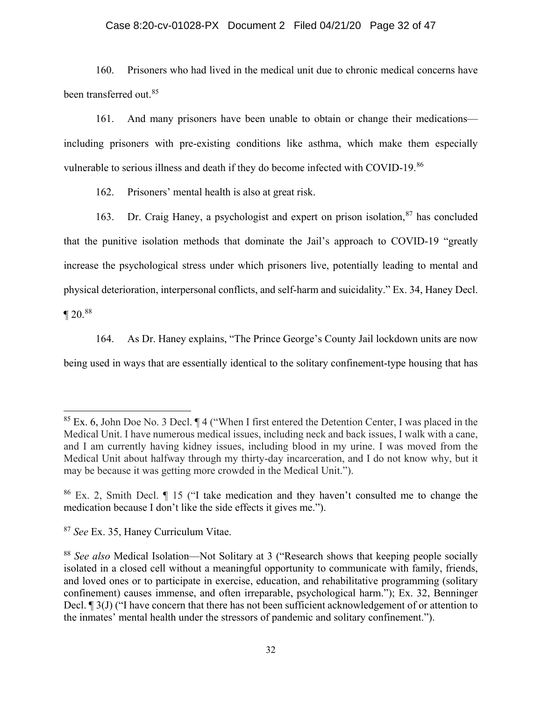## Case 8:20-cv-01028-PX Document 2 Filed 04/21/20 Page 32 of 47

160. Prisoners who had lived in the medical unit due to chronic medical concerns have been transferred out.<sup>[85](#page-31-0)</sup>

161. And many prisoners have been unable to obtain or change their medications including prisoners with pre-existing conditions like asthma, which make them especially vulnerable to serious illness and death if they do become infected with COVID-19.[86](#page-31-1)

162. Prisoners' mental health is also at great risk.

163. Dr. Craig Haney, a psychologist and expert on prison isolation, <sup>[87](#page-31-2)</sup> has concluded that the punitive isolation methods that dominate the Jail's approach to COVID-19 "greatly increase the psychological stress under which prisoners live, potentially leading to mental and physical deterioration, interpersonal conflicts, and self-harm and suicidality." Ex. 34, Haney Decl.  $\P 20.88$  $\P 20.88$ 

164. As Dr. Haney explains, "The Prince George's County Jail lockdown units are now being used in ways that are essentially identical to the solitary confinement-type housing that has

<span id="page-31-0"></span> $85$  Ex. 6, John Doe No. 3 Decl.  $\P$  4 ("When I first entered the Detention Center, I was placed in the Medical Unit. I have numerous medical issues, including neck and back issues, I walk with a cane, and I am currently having kidney issues, including blood in my urine. I was moved from the Medical Unit about halfway through my thirty-day incarceration, and I do not know why, but it may be because it was getting more crowded in the Medical Unit.").

<span id="page-31-1"></span><sup>86</sup> Ex. 2, Smith Decl. ¶ 15 ("I take medication and they haven't consulted me to change the medication because I don't like the side effects it gives me.").

<span id="page-31-2"></span><sup>87</sup> *See* Ex. 35, Haney Curriculum Vitae.

<span id="page-31-3"></span><sup>88</sup> *See also* Medical Isolation—Not Solitary at 3 ("Research shows that keeping people socially isolated in a closed cell without a meaningful opportunity to communicate with family, friends, and loved ones or to participate in exercise, education, and rehabilitative programming (solitary confinement) causes immense, and often irreparable, psychological harm."); Ex. 32, Benninger Decl. If 3(J) ("I have concern that there has not been sufficient acknowledgement of or attention to the inmates' mental health under the stressors of pandemic and solitary confinement.").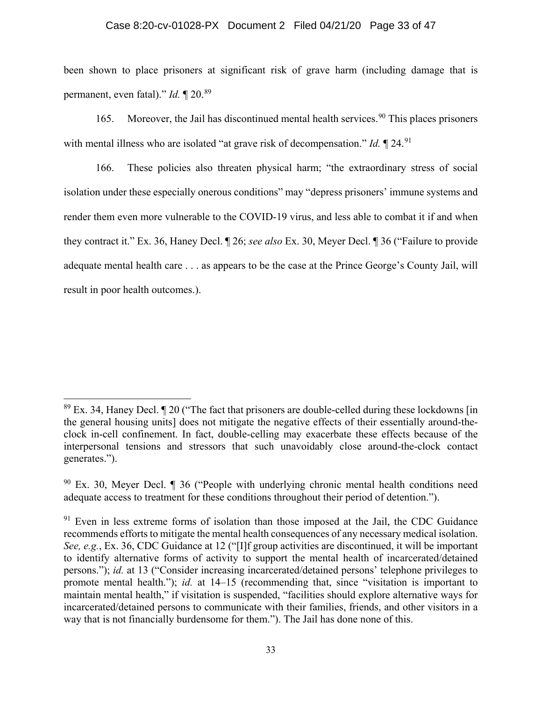## Case 8:20-cv-01028-PX Document 2 Filed 04/21/20 Page 33 of 47

been shown to place prisoners at significant risk of grave harm (including damage that is permanent, even fatal)." *Id.* ¶ 20.[89](#page-32-0)

165. Moreover, the Jail has discontinued mental health services.<sup>[90](#page-32-1)</sup> This places prisoners with mental illness who are isolated "at grave risk of decompensation." *Id.* 124.<sup>[91](#page-32-2)</sup>

166. These policies also threaten physical harm; "the extraordinary stress of social isolation under these especially onerous conditions" may "depress prisoners' immune systems and render them even more vulnerable to the COVID-19 virus, and less able to combat it if and when they contract it." Ex. 36, Haney Decl. ¶ 26; *see also* Ex. 30, Meyer Decl. ¶ 36 ("Failure to provide adequate mental health care . . . as appears to be the case at the Prince George's County Jail, will result in poor health outcomes.).

<span id="page-32-0"></span> $89$  Ex. 34, Haney Decl.  $\P$  20 ("The fact that prisoners are double-celled during these lockdowns [in] the general housing units] does not mitigate the negative effects of their essentially around-theclock in-cell confinement. In fact, double-celling may exacerbate these effects because of the interpersonal tensions and stressors that such unavoidably close around-the-clock contact generates.").

<span id="page-32-1"></span> $90$  Ex. 30, Meyer Decl.  $\parallel$  36 ("People with underlying chronic mental health conditions need adequate access to treatment for these conditions throughout their period of detention.").

<span id="page-32-2"></span> $91$  Even in less extreme forms of isolation than those imposed at the Jail, the CDC Guidance recommends efforts to mitigate the mental health consequences of any necessary medical isolation. *See, e.g.*, Ex. 36, CDC Guidance at 12 ("[I]f group activities are discontinued, it will be important to identify alternative forms of activity to support the mental health of incarcerated/detained persons."); *id.* at 13 ("Consider increasing incarcerated/detained persons' telephone privileges to promote mental health."); *id.* at 14–15 (recommending that, since "visitation is important to maintain mental health," if visitation is suspended, "facilities should explore alternative ways for incarcerated/detained persons to communicate with their families, friends, and other visitors in a way that is not financially burdensome for them."). The Jail has done none of this.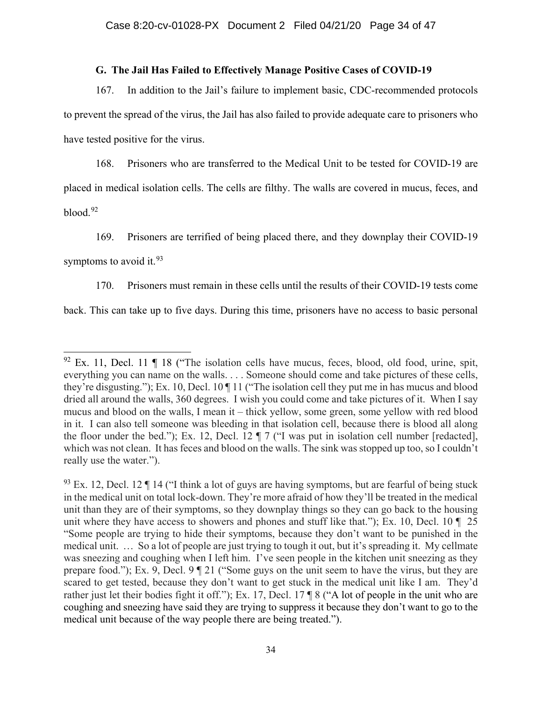### **G. The Jail Has Failed to Effectively Manage Positive Cases of COVID-19**

167. In addition to the Jail's failure to implement basic, CDC-recommended protocols to prevent the spread of the virus, the Jail has also failed to provide adequate care to prisoners who have tested positive for the virus.

168. Prisoners who are transferred to the Medical Unit to be tested for COVID-19 are placed in medical isolation cells. The cells are filthy. The walls are covered in mucus, feces, and  $blood.<sup>92</sup>$  $blood.<sup>92</sup>$  $blood.<sup>92</sup>$ 

169. Prisoners are terrified of being placed there, and they downplay their COVID-19

symptoms to avoid it.  $93$ 

 $\ddot{\phantom{a}}$ 

170. Prisoners must remain in these cells until the results of their COVID-19 tests come

back. This can take up to five days. During this time, prisoners have no access to basic personal

<span id="page-33-0"></span> $92$  Ex. 11, Decl. 11  $\parallel$  18 ("The isolation cells have mucus, feces, blood, old food, urine, spit, everything you can name on the walls. . . . Someone should come and take pictures of these cells, they're disgusting."); Ex. 10, Decl. 10 ¶ 11 ("The isolation cell they put me in has mucus and blood dried all around the walls, 360 degrees. I wish you could come and take pictures of it. When I say mucus and blood on the walls, I mean it – thick yellow, some green, some yellow with red blood in it. I can also tell someone was bleeding in that isolation cell, because there is blood all along the floor under the bed."); Ex. 12, Decl. 12 ¶ 7 ("I was put in isolation cell number [redacted], which was not clean. It has feces and blood on the walls. The sink was stopped up too, so I couldn't really use the water.").

<span id="page-33-1"></span> $93$  Ex. 12, Decl. 12  $\P$  14 ("I think a lot of guys are having symptoms, but are fearful of being stuck in the medical unit on total lock-down. They're more afraid of how they'll be treated in the medical unit than they are of their symptoms, so they downplay things so they can go back to the housing unit where they have access to showers and phones and stuff like that."); Ex. 10, Decl. 10  $\parallel$  25 "Some people are trying to hide their symptoms, because they don't want to be punished in the medical unit. … So a lot of people are just trying to tough it out, but it's spreading it. My cellmate was sneezing and coughing when I left him. I've seen people in the kitchen unit sneezing as they prepare food."); Ex. 9, Decl. 9 ¶ 21 ("Some guys on the unit seem to have the virus, but they are scared to get tested, because they don't want to get stuck in the medical unit like I am. They'd rather just let their bodies fight it off."); Ex. 17, Decl. 17 ¶ 8 ("A lot of people in the unit who are coughing and sneezing have said they are trying to suppress it because they don't want to go to the medical unit because of the way people there are being treated.").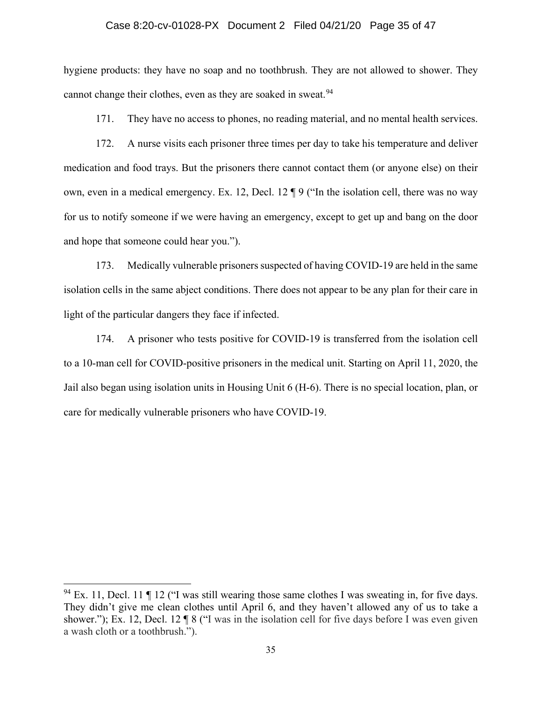#### Case 8:20-cv-01028-PX Document 2 Filed 04/21/20 Page 35 of 47

hygiene products: they have no soap and no toothbrush. They are not allowed to shower. They cannot change their clothes, even as they are soaked in sweat.<sup>[94](#page-34-0)</sup>

171. They have no access to phones, no reading material, and no mental health services.

172. A nurse visits each prisoner three times per day to take his temperature and deliver medication and food trays. But the prisoners there cannot contact them (or anyone else) on their own, even in a medical emergency. Ex. 12, Decl. 12 ¶ 9 ("In the isolation cell, there was no way for us to notify someone if we were having an emergency, except to get up and bang on the door and hope that someone could hear you.").

173. Medically vulnerable prisoners suspected of having COVID-19 are held in the same isolation cells in the same abject conditions. There does not appear to be any plan for their care in light of the particular dangers they face if infected.

174. A prisoner who tests positive for COVID-19 is transferred from the isolation cell to a 10-man cell for COVID-positive prisoners in the medical unit. Starting on April 11, 2020, the Jail also began using isolation units in Housing Unit 6 (H-6). There is no special location, plan, or care for medically vulnerable prisoners who have COVID-19.

<span id="page-34-0"></span> $94$  Ex. 11, Decl. 11  $\P$  12 ("I was still wearing those same clothes I was sweating in, for five days. They didn't give me clean clothes until April 6, and they haven't allowed any of us to take a shower."); Ex. 12, Decl. 12 ¶ 8 ("I was in the isolation cell for five days before I was even given a wash cloth or a toothbrush.").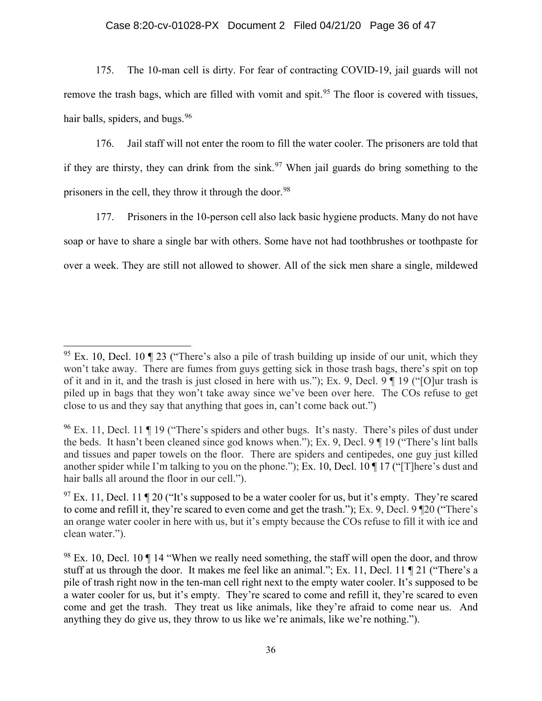## Case 8:20-cv-01028-PX Document 2 Filed 04/21/20 Page 36 of 47

175. The 10-man cell is dirty. For fear of contracting COVID-19, jail guards will not remove the trash bags, which are filled with vomit and spit.<sup>[95](#page-35-0)</sup> The floor is covered with tissues, hair balls, spiders, and bugs.<sup>[96](#page-35-1)</sup>

176. Jail staff will not enter the room to fill the water cooler. The prisoners are told that if they are thirsty, they can drink from the sink.<sup>[97](#page-35-2)</sup> When jail guards do bring something to the prisoners in the cell, they throw it through the door.<sup>[98](#page-35-3)</sup>

177. Prisoners in the 10-person cell also lack basic hygiene products. Many do not have soap or have to share a single bar with others. Some have not had toothbrushes or toothpaste for over a week. They are still not allowed to shower. All of the sick men share a single, mildewed

<span id="page-35-0"></span><sup>&</sup>lt;sup>95</sup> Ex. 10, Decl. 10  $\parallel$  23 ("There's also a pile of trash building up inside of our unit, which they won't take away. There are fumes from guys getting sick in those trash bags, there's spit on top of it and in it, and the trash is just closed in here with us."); Ex. 9, Decl. 9 ¶ 19 ("[O]ur trash is piled up in bags that they won't take away since we've been over here. The COs refuse to get close to us and they say that anything that goes in, can't come back out.")

<span id="page-35-1"></span> $96$  Ex. 11, Decl. 11  $\P$  19 ("There's spiders and other bugs. It's nasty. There's piles of dust under the beds. It hasn't been cleaned since god knows when."); Ex. 9, Decl. 9 ¶ 19 ("There's lint balls and tissues and paper towels on the floor. There are spiders and centipedes, one guy just killed another spider while I'm talking to you on the phone."); Ex. 10, Decl. 10 ¶ 17 ("[T]here's dust and hair balls all around the floor in our cell.").

<span id="page-35-2"></span> $97$  Ex. 11, Decl. 11 ¶ 20 ("It's supposed to be a water cooler for us, but it's empty. They're scared to come and refill it, they're scared to even come and get the trash."); Ex. 9, Decl. 9 ¶20 ("There's an orange water cooler in here with us, but it's empty because the COs refuse to fill it with ice and clean water.").

<span id="page-35-3"></span> $98$  Ex. 10, Decl. 10  $\P$  14 "When we really need something, the staff will open the door, and throw stuff at us through the door. It makes me feel like an animal."; Ex. 11, Decl. 11 ¶ 21 ("There's a pile of trash right now in the ten-man cell right next to the empty water cooler. It's supposed to be a water cooler for us, but it's empty. They're scared to come and refill it, they're scared to even come and get the trash. They treat us like animals, like they're afraid to come near us. And anything they do give us, they throw to us like we're animals, like we're nothing.").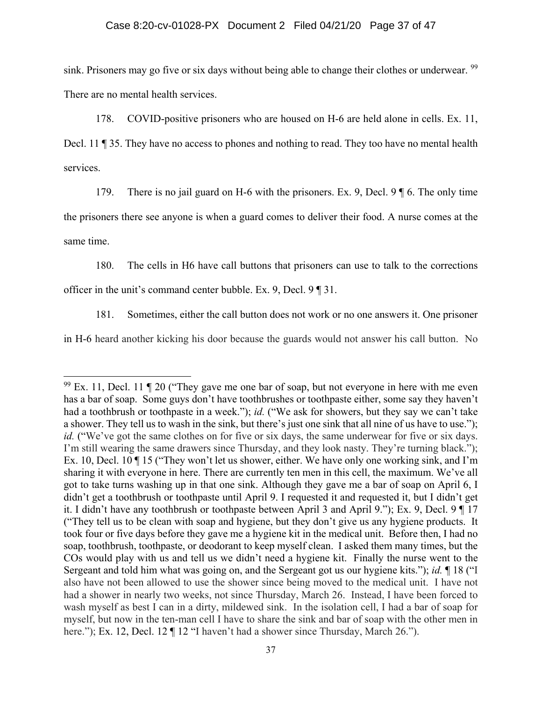#### Case 8:20-cv-01028-PX Document 2 Filed 04/21/20 Page 37 of 47

sink. Prisoners may go five or six days without being able to change their clothes or underwear. <sup>[99](#page-36-0)</sup> There are no mental health services.

178. COVID-positive prisoners who are housed on H-6 are held alone in cells. Ex. 11,

Decl. 11 ¶ 35. They have no access to phones and nothing to read. They too have no mental health services.

179. There is no jail guard on H-6 with the prisoners. Ex. 9, Decl. 9  $\parallel$  6. The only time

the prisoners there see anyone is when a guard comes to deliver their food. A nurse comes at the same time.

180. The cells in H6 have call buttons that prisoners can use to talk to the corrections

officer in the unit's command center bubble. Ex. 9, Decl. 9 ¶ 31.

 $\overline{a}$ 

181. Sometimes, either the call button does not work or no one answers it. One prisoner

in H-6 heard another kicking his door because the guards would not answer his call button. No

<span id="page-36-0"></span> $99$  Ex. 11, Decl. 11  $\P$  20 ("They gave me one bar of soap, but not everyone in here with me even has a bar of soap. Some guys don't have toothbrushes or toothpaste either, some say they haven't had a toothbrush or toothpaste in a week."); *id.* ("We ask for showers, but they say we can't take a shower. They tell us to wash in the sink, but there's just one sink that all nine of us have to use."); *id.* ("We've got the same clothes on for five or six days, the same underwear for five or six days. I'm still wearing the same drawers since Thursday, and they look nasty. They're turning black."); Ex. 10, Decl. 10 ¶ 15 ("They won't let us shower, either. We have only one working sink, and I'm sharing it with everyone in here. There are currently ten men in this cell, the maximum. We've all got to take turns washing up in that one sink. Although they gave me a bar of soap on April 6, I didn't get a toothbrush or toothpaste until April 9. I requested it and requested it, but I didn't get it. I didn't have any toothbrush or toothpaste between April 3 and April 9."); Ex. 9, Decl. 9 ¶ 17 ("They tell us to be clean with soap and hygiene, but they don't give us any hygiene products. It took four or five days before they gave me a hygiene kit in the medical unit. Before then, I had no soap, toothbrush, toothpaste, or deodorant to keep myself clean. I asked them many times, but the COs would play with us and tell us we didn't need a hygiene kit. Finally the nurse went to the Sergeant and told him what was going on, and the Sergeant got us our hygiene kits."); *id.* ¶ 18 ("I also have not been allowed to use the shower since being moved to the medical unit. I have not had a shower in nearly two weeks, not since Thursday, March 26. Instead, I have been forced to wash myself as best I can in a dirty, mildewed sink. In the isolation cell, I had a bar of soap for myself, but now in the ten-man cell I have to share the sink and bar of soap with the other men in here."); Ex. 12, Decl. 12  $\P$  12 "I haven't had a shower since Thursday, March 26.").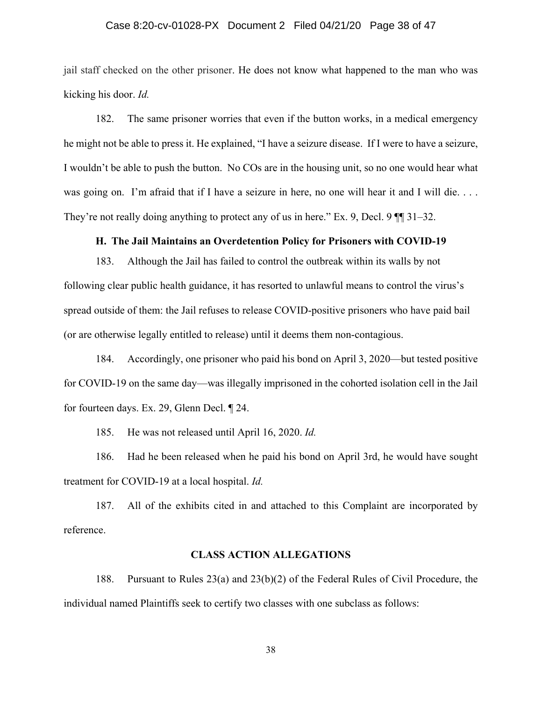#### Case 8:20-cv-01028-PX Document 2 Filed 04/21/20 Page 38 of 47

jail staff checked on the other prisoner. He does not know what happened to the man who was kicking his door. *Id.* 

182. The same prisoner worries that even if the button works, in a medical emergency he might not be able to press it. He explained, "I have a seizure disease. If I were to have a seizure, I wouldn't be able to push the button. No COs are in the housing unit, so no one would hear what was going on. I'm afraid that if I have a seizure in here, no one will hear it and I will die.... They're not really doing anything to protect any of us in here." Ex. 9, Decl. 9  $\P$  31–32.

#### **H. The Jail Maintains an Overdetention Policy for Prisoners with COVID-19**

183. Although the Jail has failed to control the outbreak within its walls by not following clear public health guidance, it has resorted to unlawful means to control the virus's spread outside of them: the Jail refuses to release COVID-positive prisoners who have paid bail (or are otherwise legally entitled to release) until it deems them non-contagious.

184. Accordingly, one prisoner who paid his bond on April 3, 2020—but tested positive for COVID-19 on the same day—was illegally imprisoned in the cohorted isolation cell in the Jail for fourteen days. Ex. 29, Glenn Decl. ¶ 24.

185. He was not released until April 16, 2020. *Id.* 

186. Had he been released when he paid his bond on April 3rd, he would have sought treatment for COVID-19 at a local hospital. *Id.* 

187. All of the exhibits cited in and attached to this Complaint are incorporated by reference.

# **CLASS ACTION ALLEGATIONS**

188. Pursuant to Rules 23(a) and 23(b)(2) of the Federal Rules of Civil Procedure, the individual named Plaintiffs seek to certify two classes with one subclass as follows:

38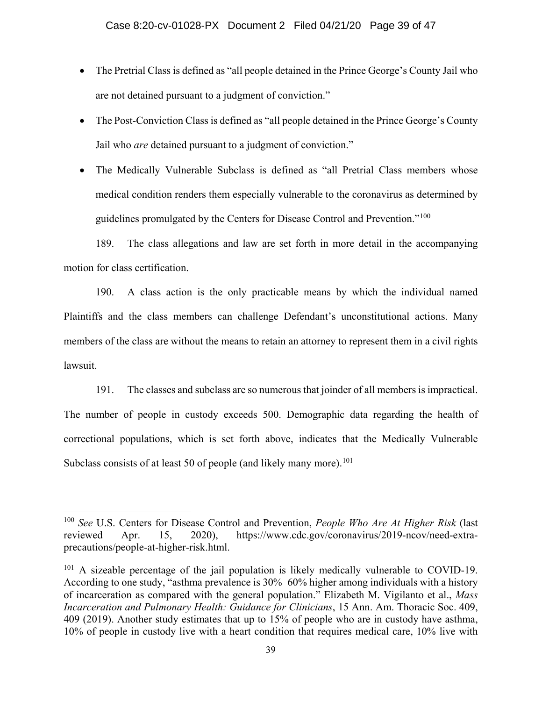- The Pretrial Class is defined as "all people detained in the Prince George's County Jail who are not detained pursuant to a judgment of conviction."
- The Post-Conviction Class is defined as "all people detained in the Prince George's County Jail who *are* detained pursuant to a judgment of conviction."
- The Medically Vulnerable Subclass is defined as "all Pretrial Class members whose medical condition renders them especially vulnerable to the coronavirus as determined by guidelines promulgated by the Centers for Disease Control and Prevention."<sup>[100](#page-38-0)</sup>

189. The class allegations and law are set forth in more detail in the accompanying motion for class certification.

190. A class action is the only practicable means by which the individual named Plaintiffs and the class members can challenge Defendant's unconstitutional actions. Many members of the class are without the means to retain an attorney to represent them in a civil rights lawsuit.

191. The classes and subclass are so numerous that joinder of all members is impractical. The number of people in custody exceeds 500. Demographic data regarding the health of correctional populations, which is set forth above, indicates that the Medically Vulnerable Subclass consists of at least 50 of people (and likely many more).<sup>[101](#page-38-1)</sup>

<span id="page-38-0"></span><sup>100</sup> *See* U.S. Centers for Disease Control and Prevention, *People Who Are At Higher Risk* (last reviewed Apr. 15, 2020), https://www.cdc.gov/coronavirus/2019-ncov/need-extraprecautions/people-at-higher-risk.html.

<span id="page-38-1"></span><sup>&</sup>lt;sup>101</sup> A sizeable percentage of the jail population is likely medically vulnerable to COVID-19. According to one study, "asthma prevalence is 30%–60% higher among individuals with a history of incarceration as compared with the general population." Elizabeth M. Vigilanto et al., *Mass Incarceration and Pulmonary Health: Guidance for Clinicians*, 15 Ann. Am. Thoracic Soc. 409, 409 (2019). Another study estimates that up to 15% of people who are in custody have asthma, 10% of people in custody live with a heart condition that requires medical care, 10% live with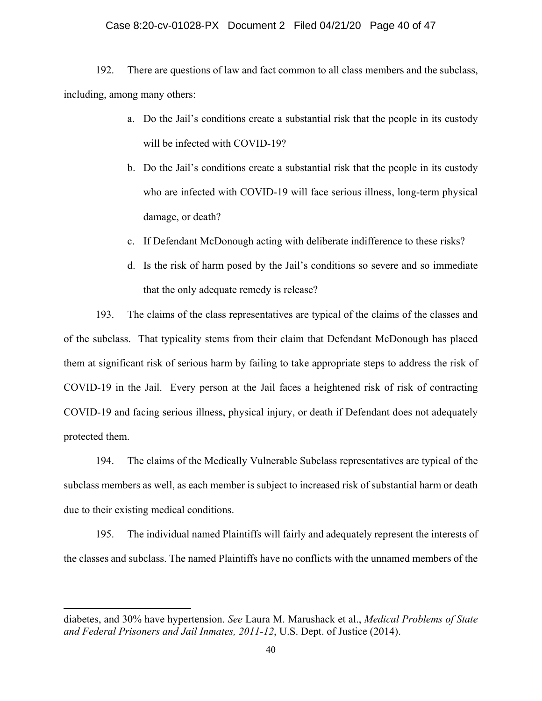#### Case 8:20-cv-01028-PX Document 2 Filed 04/21/20 Page 40 of 47

192. There are questions of law and fact common to all class members and the subclass, including, among many others:

- a. Do the Jail's conditions create a substantial risk that the people in its custody will be infected with COVID-19?
- b. Do the Jail's conditions create a substantial risk that the people in its custody who are infected with COVID-19 will face serious illness, long-term physical damage, or death?
- c. If Defendant McDonough acting with deliberate indifference to these risks?
- d. Is the risk of harm posed by the Jail's conditions so severe and so immediate that the only adequate remedy is release?

193. The claims of the class representatives are typical of the claims of the classes and of the subclass. That typicality stems from their claim that Defendant McDonough has placed them at significant risk of serious harm by failing to take appropriate steps to address the risk of COVID-19 in the Jail. Every person at the Jail faces a heightened risk of risk of contracting COVID-19 and facing serious illness, physical injury, or death if Defendant does not adequately protected them.

194. The claims of the Medically Vulnerable Subclass representatives are typical of the subclass members as well, as each member is subject to increased risk of substantial harm or death due to their existing medical conditions.

195. The individual named Plaintiffs will fairly and adequately represent the interests of the classes and subclass. The named Plaintiffs have no conflicts with the unnamed members of the

diabetes, and 30% have hypertension. *See* Laura M. Marushack et al., *Medical Problems of State and Federal Prisoners and Jail Inmates, 2011-12*, U.S. Dept. of Justice (2014).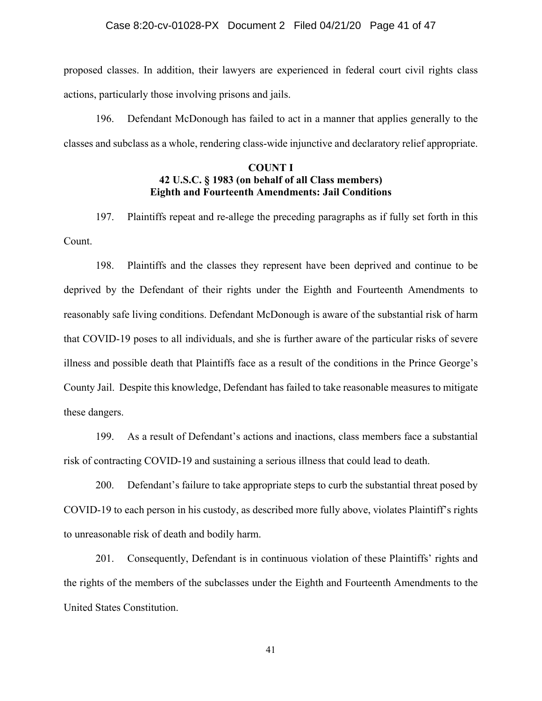proposed classes. In addition, their lawyers are experienced in federal court civil rights class actions, particularly those involving prisons and jails.

196. Defendant McDonough has failed to act in a manner that applies generally to the classes and subclass as a whole, rendering class-wide injunctive and declaratory relief appropriate.

# **COUNT I 42 U.S.C. § 1983 (on behalf of all Class members) Eighth and Fourteenth Amendments: Jail Conditions**

197. Plaintiffs repeat and re-allege the preceding paragraphs as if fully set forth in this Count.

198. Plaintiffs and the classes they represent have been deprived and continue to be deprived by the Defendant of their rights under the Eighth and Fourteenth Amendments to reasonably safe living conditions. Defendant McDonough is aware of the substantial risk of harm that COVID-19 poses to all individuals, and she is further aware of the particular risks of severe illness and possible death that Plaintiffs face as a result of the conditions in the Prince George's County Jail. Despite this knowledge, Defendant has failed to take reasonable measures to mitigate these dangers.

199. As a result of Defendant's actions and inactions, class members face a substantial risk of contracting COVID-19 and sustaining a serious illness that could lead to death.

200. Defendant's failure to take appropriate steps to curb the substantial threat posed by COVID-19 to each person in his custody, as described more fully above, violates Plaintiff's rights to unreasonable risk of death and bodily harm.

201. Consequently, Defendant is in continuous violation of these Plaintiffs' rights and the rights of the members of the subclasses under the Eighth and Fourteenth Amendments to the United States Constitution.

41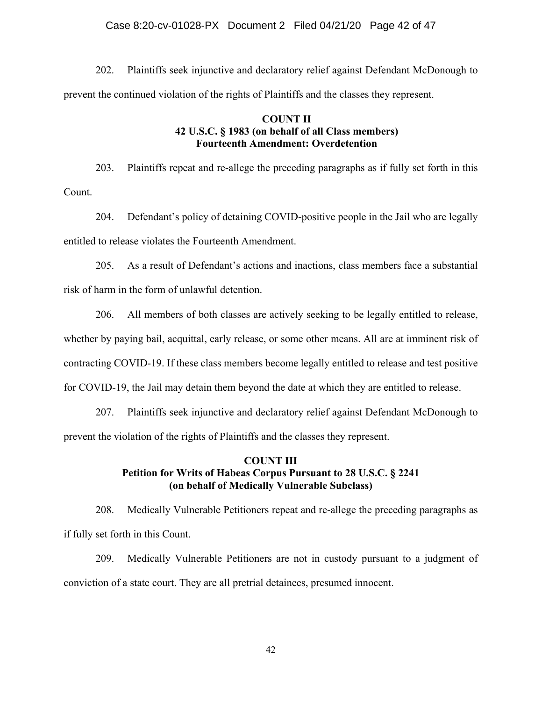#### Case 8:20-cv-01028-PX Document 2 Filed 04/21/20 Page 42 of 47

202. Plaintiffs seek injunctive and declaratory relief against Defendant McDonough to prevent the continued violation of the rights of Plaintiffs and the classes they represent.

## **COUNT II 42 U.S.C. § 1983 (on behalf of all Class members) Fourteenth Amendment: Overdetention**

203. Plaintiffs repeat and re-allege the preceding paragraphs as if fully set forth in this Count.

204. Defendant's policy of detaining COVID-positive people in the Jail who are legally entitled to release violates the Fourteenth Amendment.

205. As a result of Defendant's actions and inactions, class members face a substantial risk of harm in the form of unlawful detention.

206. All members of both classes are actively seeking to be legally entitled to release, whether by paying bail, acquittal, early release, or some other means. All are at imminent risk of contracting COVID-19. If these class members become legally entitled to release and test positive for COVID-19, the Jail may detain them beyond the date at which they are entitled to release.

207. Plaintiffs seek injunctive and declaratory relief against Defendant McDonough to prevent the violation of the rights of Plaintiffs and the classes they represent.

# **COUNT III Petition for Writs of Habeas Corpus Pursuant to 28 U.S.C. § 2241 (on behalf of Medically Vulnerable Subclass)**

208. Medically Vulnerable Petitioners repeat and re-allege the preceding paragraphs as if fully set forth in this Count.

209. Medically Vulnerable Petitioners are not in custody pursuant to a judgment of conviction of a state court. They are all pretrial detainees, presumed innocent.

42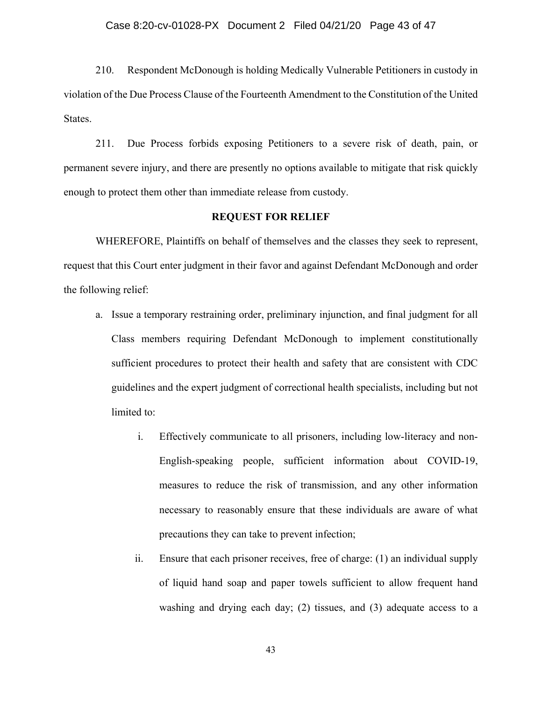#### Case 8:20-cv-01028-PX Document 2 Filed 04/21/20 Page 43 of 47

210. Respondent McDonough is holding Medically Vulnerable Petitioners in custody in violation of the Due Process Clause of the Fourteenth Amendment to the Constitution of the United States.

211. Due Process forbids exposing Petitioners to a severe risk of death, pain, or permanent severe injury, and there are presently no options available to mitigate that risk quickly enough to protect them other than immediate release from custody.

### **REQUEST FOR RELIEF**

 WHEREFORE, Plaintiffs on behalf of themselves and the classes they seek to represent, request that this Court enter judgment in their favor and against Defendant McDonough and order the following relief:

- a. Issue a temporary restraining order, preliminary injunction, and final judgment for all Class members requiring Defendant McDonough to implement constitutionally sufficient procedures to protect their health and safety that are consistent with CDC guidelines and the expert judgment of correctional health specialists, including but not limited to:
	- i. Effectively communicate to all prisoners, including low-literacy and non-English-speaking people, sufficient information about COVID-19, measures to reduce the risk of transmission, and any other information necessary to reasonably ensure that these individuals are aware of what precautions they can take to prevent infection;
	- ii. Ensure that each prisoner receives, free of charge: (1) an individual supply of liquid hand soap and paper towels sufficient to allow frequent hand washing and drying each day; (2) tissues, and (3) adequate access to a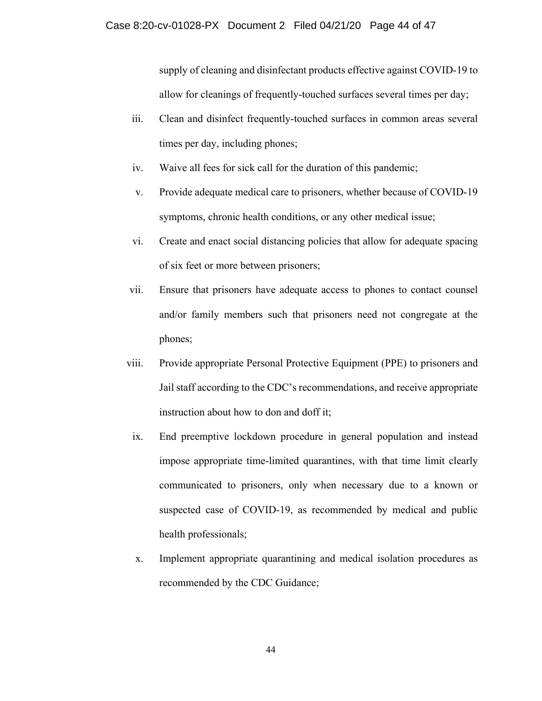supply of cleaning and disinfectant products effective against COVID-19 to allow for cleanings of frequently-touched surfaces several times per day;

- iii. Clean and disinfect frequently-touched surfaces in common areas several times per day, including phones;
- iv. Waive all fees for sick call for the duration of this pandemic;
- v. Provide adequate medical care to prisoners, whether because of COVID-19 symptoms, chronic health conditions, or any other medical issue;
- vi. Create and enact social distancing policies that allow for adequate spacing of six feet or more between prisoners;
- vii. Ensure that prisoners have adequate access to phones to contact counsel and/or family members such that prisoners need not congregate at the phones;
- viii. Provide appropriate Personal Protective Equipment (PPE) to prisoners and Jail staff according to the CDC's recommendations, and receive appropriate instruction about how to don and doff it;
- ix. End preemptive lockdown procedure in general population and instead impose appropriate time-limited quarantines, with that time limit clearly communicated to prisoners, only when necessary due to a known or suspected case of COVID-19, as recommended by medical and public health professionals;
- x. Implement appropriate quarantining and medical isolation procedures as recommended by the CDC Guidance;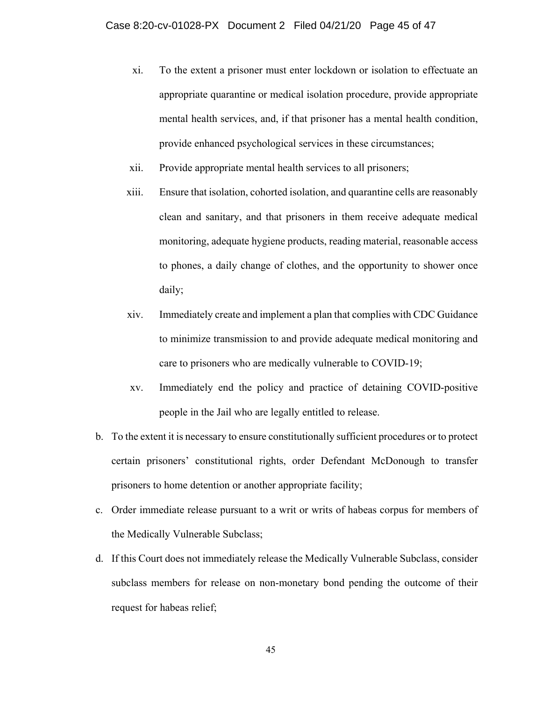- xi. To the extent a prisoner must enter lockdown or isolation to effectuate an appropriate quarantine or medical isolation procedure, provide appropriate mental health services, and, if that prisoner has a mental health condition, provide enhanced psychological services in these circumstances;
- xii. Provide appropriate mental health services to all prisoners;
- xiii. Ensure that isolation, cohorted isolation, and quarantine cells are reasonably clean and sanitary, and that prisoners in them receive adequate medical monitoring, adequate hygiene products, reading material, reasonable access to phones, a daily change of clothes, and the opportunity to shower once daily;
- xiv. Immediately create and implement a plan that complies with CDC Guidance to minimize transmission to and provide adequate medical monitoring and care to prisoners who are medically vulnerable to COVID-19;
- xv. Immediately end the policy and practice of detaining COVID-positive people in the Jail who are legally entitled to release.
- b. To the extent it is necessary to ensure constitutionally sufficient procedures or to protect certain prisoners' constitutional rights, order Defendant McDonough to transfer prisoners to home detention or another appropriate facility;
- c. Order immediate release pursuant to a writ or writs of habeas corpus for members of the Medically Vulnerable Subclass;
- d. If this Court does not immediately release the Medically Vulnerable Subclass, consider subclass members for release on non-monetary bond pending the outcome of their request for habeas relief;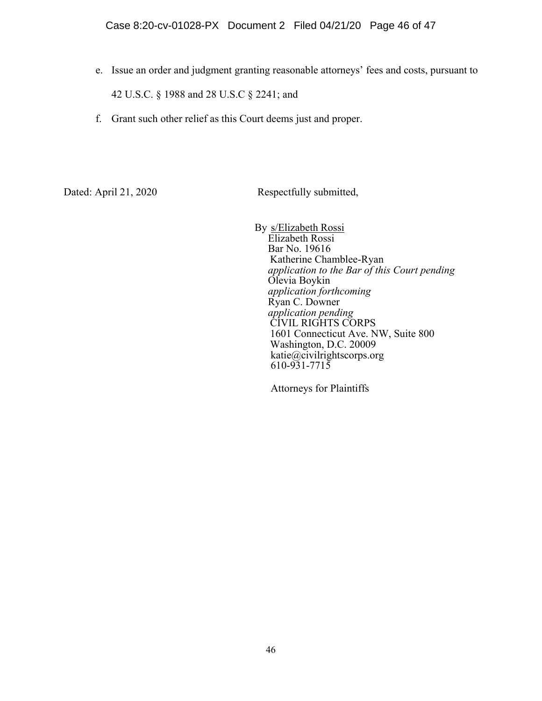- e. Issue an order and judgment granting reasonable attorneys' fees and costs, pursuant to 42 U.S.C. § 1988 and 28 U.S.C § 2241; and
- f. Grant such other relief as this Court deems just and proper.

Dated: April 21, 2020 Respectfully submitted,

By s/Elizabeth Rossi Elizabeth Rossi Bar No. 19616 Katherine Chamblee-Ryan *application to the Bar of this Court pending*  Olevia Boykin *application forthcoming*  Ryan C. Downer *application pending* CIVIL RIGHTS CORPS 1601 Connecticut Ave. NW, Suite 800 Washington, D.C. 20009 katie@civilrightscorps.org 610-931-7715

Attorneys for Plaintiffs